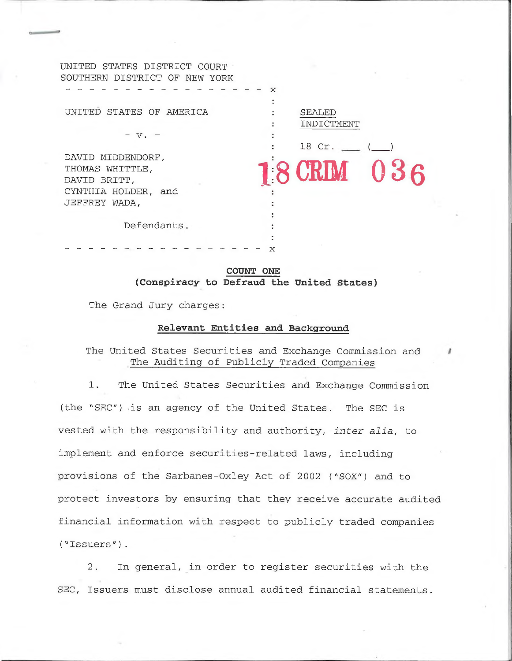| UNITED STATES DISTRICT COURT  |   |             |  |
|-------------------------------|---|-------------|--|
| SOUTHERN DISTRICT OF NEW YORK |   |             |  |
|                               | X |             |  |
|                               |   |             |  |
| UNITED STATES OF AMERICA      |   | SEALED      |  |
|                               |   | INDICTMENT  |  |
| $V$ .                         |   |             |  |
|                               |   | 18 Cr.      |  |
| DAVID MIDDENDORF,             |   |             |  |
| THOMAS WHITTLE,               |   | 18 CRIM 036 |  |
| DAVID BRITT,                  |   |             |  |
| CYNTHIA HOLDER, and           |   |             |  |
| JEFFREY WADA,                 |   |             |  |
|                               |   |             |  |
| Defendants.                   |   |             |  |
|                               |   |             |  |
|                               |   |             |  |

**COUNT ONE (Conspiracy to Defraud the United States)**

x

The Grand Jury charges:

#### **Relevant Entities and Background**

The United States Securities and Exchange Commission and The Auditing of Publicly Traded Companies

1. The United States Securities and Exchange Commission (the "SEC") is an agency of the United States. The SEC is vested with the responsibility and authority, *inter alia,* to implement and enforce securities-related laws, including provisions of the Sarbanes-Oxley Act of 2002 ("SOX") and to protect investors by ensuring that they receive accurate audited financial information with respect to publicly traded companies ("Issuers").

2. In general, in order to register securities with the SEC, Issuers must disclose annual audited financial statements.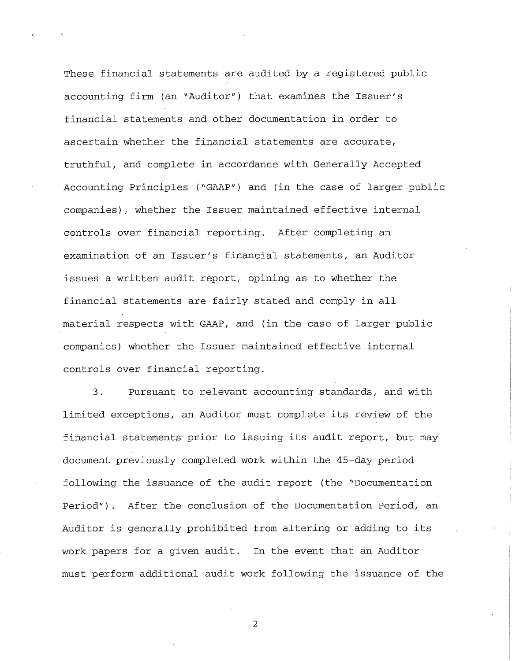These financial statements are audited by a registered public accounting firm (an "Auditor") that examines the Issuer's financial statements and other documentation in order to ascertain whether the financial statements are accurate, truthful, and complete in accordance with Generally Accepted Accounting Principles ("GAAP") and (in the case of larger public companies), whether the Issuer maintained effective internal controls over financial reporting. After completing an examination of an Issuer's financial statements, an Auditor issues a written audit report, opining as to whether the financial statements are fairly stated and comply in all material respects with GAAP, and (in the case of larger public companies) whether the Issuer maintained effective internal controls over financial reporting.

3. Pursuant to relevant accounting standards, and with limited exceptions, an Auditor must complete its review of the financial statements prior to issuing its audit report, but may document previously completed work within the 45-day period following the issuance of the audit report (the "Documentation Period"). After the conclusion of the Documentation Period, an Auditor is generally prohibited from altering or adding to its work papers for a given audit. In the event that an Auditor must perform additional audit work following the issuance of the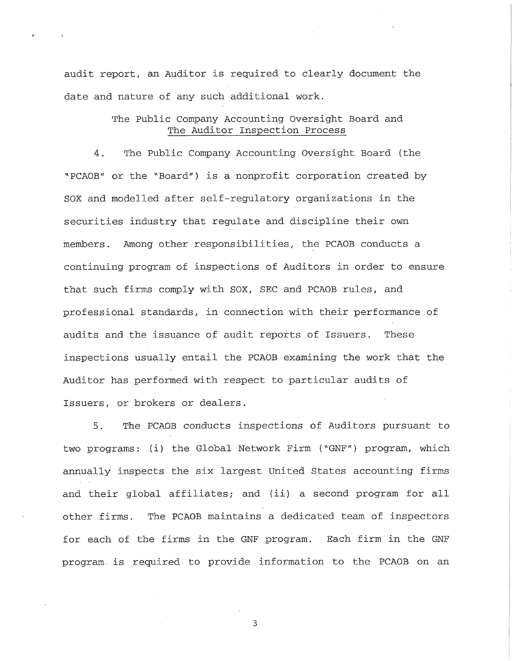audit report, an Auditor is required to clearly document the date and nature of any such additional work.

*<sup>s</sup>* ■>

## The Public Company Accounting Oversight Board and The Auditor Inspection Process

4. The Public Company Accounting Oversight Board (the "PCAOB*"* or the "Board") is a nonprofit corporation created by SOX and modelled after self-regulatory organizations in the securities industry that regulate and discipline their own members. Among other responsibilities, the PCAOB conducts a continuing program of inspections of Auditors in order to ensure that such firms comply with SOX, SEC and PCAOB rules, and professional standards, in connection with their performance of audits and the issuance of audit reports of Issuers. These inspections usually entail the PCAOB examining the work that the Auditor has performed with respect to particular audits of Issuers, or brokers or dealers.

5. The PCAOB conducts inspections of Auditors pursuant to two programs: (i) the Global Network Firm ("GNF") program, which annually inspects the six largest United States accounting firms and their global affiliates; and (ii) a second program for all other firms. The PCAOB maintains a dedicated team of inspectors for each of the firms in the GNF program. Each firm in the GNF program, is required to provide information to the PCAOB on an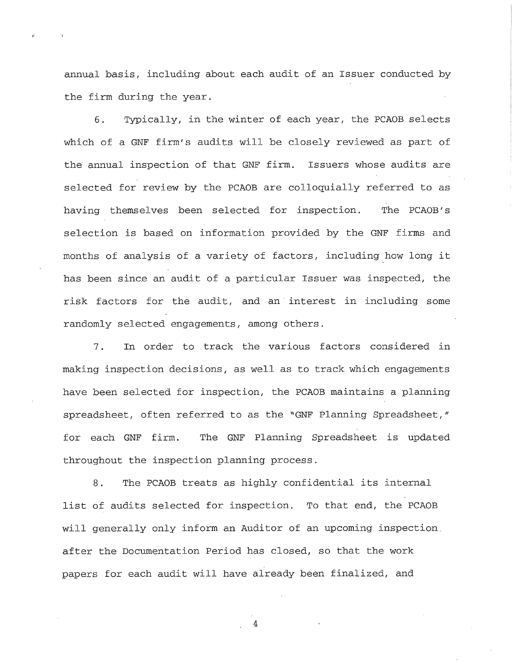annual basis, including about each audit of an Issuer conducted by the firm during the year.

6. Typically, in the winter of each year, the PCAOB selects which of a GNF firm's audits will be closely reviewed as part of the annual inspection of that GNF firm. Issuers whose audits are selected for review by the PCAOB are colloquially referred to as having themselves been selected for inspection. The PCAOB's selection is based on information provided by the GNF firms and months of analysis of a variety of factors, including how long it has been since an audit of a particular Issuer was inspected, the risk factors for the audit, and an interest in including some randomly selected engagements, among others.

7. In order to track the various factors considered in making inspection decisions, as well as to track which engagements have been selected for inspection, the PCAOB maintains a planning spreadsheet, often referred to as the "GNF Planning Spreadsheet," for each GNF firm. The GNF Planning Spreadsheet is updated throughout the inspection planning process.

8. The PCAOB treats as highly confidential its internal list of audits selected for inspection. To that end, the PCAOB will generally only inform an Auditor of an upcoming inspection, after the Documentation Period has closed, so that the work papers for each audit will have already been finalized, and

 $\overline{4}$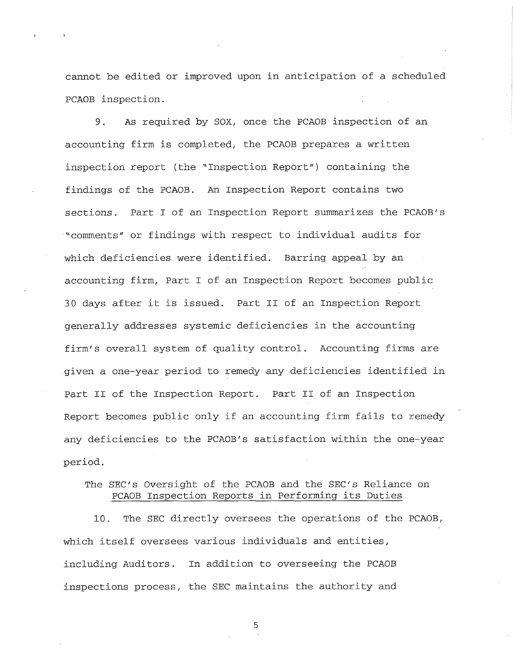cannot be edited or improved upon in anticipation of a scheduled PCAOB inspection.

9. As required by SOX, once the PCAOB inspection of an accounting firm is completed, the PCAOB prepares a written inspection report (the "Inspection Report") containing the findings of the PCAOB. An Inspection Report contains two sections. Part I of an Inspection Report summarizes the PCAOB's "comments" or findings with respect to individual audits for which deficiencies were identified. Barring appeal by an accounting firm, Part I of an Inspection Report becomes public 30 days after it is issued. Part II of an Inspection Report generally addresses systemic deficiencies in the accounting firm's overall system of quality control. Accounting firms are given a one-year period to remedy any deficiencies identified in Part II of the Inspection Report. Part II of an Inspection Report becomes public only if an accounting firm fails to remedy any deficiencies to the PCAOB's satisfaction within the one-year period.

## The SEC's Oversight of the PCAOB and the SEC's Reliance on PCAOB Inspection Reports in Performing its Duties

10. The SEC directly oversees the operations of the PCAOB, which itself oversees various individuals and entities, including Auditors. In addition to overseeing the PCAOB inspections process, the SEC maintains the authority and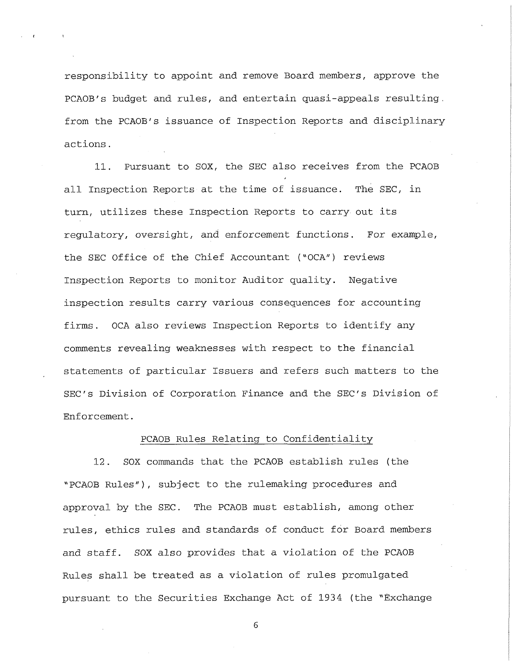responsibility to appoint and remove Board members, approve the PCAOB's budget and rules, and entertain quasi-appeals resulting, from the PCAOB's issuance of Inspection Reports and disciplinary actions.

11. Pursuant to SOX, the SEC also receives from the PCAOB all Inspection Reports at the time of issuance. The SEC, in turn, utilizes these Inspection Reports to carry out its regulatory, oversight, and enforcement functions. For example, the SEC Office of the Chief Accountant ("OCA") reviews Inspection Reports to monitor Auditor quality. Negative inspection results carry various consequences for accounting firms. OCA also reviews Inspection Reports to identify any comments revealing weaknesses with respect to the financial statements of particular Issuers and refers such matters to the SEC's Division of Corporation Finance and the SEC's Division of Enforcement.

### PCAOB Rules Relating to Confidentiality

12. SOX commands that the PCAOB establish rules (the "PCAOB Rules"), subject to the rulemaking procedures and approval by the SEC. The PCAOB must establish, among other rules, ethics rules and standards of conduct for Board members and staff. SOX also provides that a violation of the PCAOB Rules shall be treated as a violation of rules promulgated pursuant to the Securities Exchange Act of 1934 (the "Exchange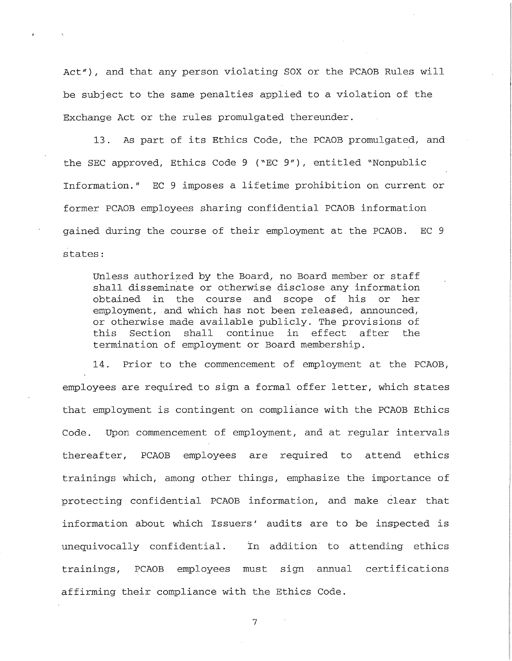Act"), and that any person violating SOX or the PCAOB Rules will be subject to the same penalties applied to a violation of the Exchange Act or the rules promulgated thereunder.

13. As part of its Ethics Code, the PCAOB promulgated, and the SEC approved, Ethics Code 9 ("EC 9"), entitled "Nonpublic Information." EC 9 imposes a lifetime prohibition on current or former PCAOB employees sharing confidential PCAOB information gained during the course of their employment at the PCAOB. EC 9 states:

Unless authorized by the Board, no Board member or staff shall disseminate or otherwise disclose any information obtained in the course and scope of his or her employment, and which has not been released, announced, or otherwise made available publicly. The provisions of this Section shall continue in effect after the termination of employment or Board membership.

14. Prior to the commencement of employment at the PCAOB, employees are required to sign a formal offer letter, which states that employment is contingent on compliance with the PCAOB Ethics Code. Upon commencement of employment, and at regular intervals thereafter, PCAOB employees are required to attend ethics trainings which, among other things, emphasize the importance of protecting confidential PCAOB information, and make clear that information about which Issuers' audits are to be inspected is unequivocally confidential. In addition to attending ethics trainings, PCAOB employees must sign annual certifications affirming their compliance with the Ethics Code.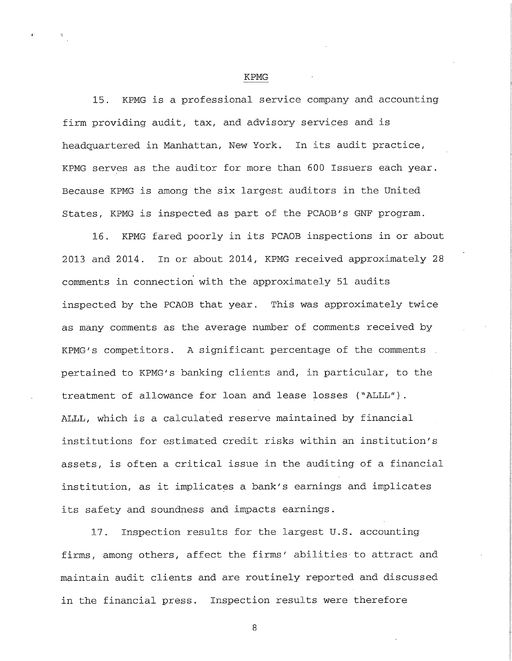KPMG

15. KPMG is a professional service company and accounting firm providing audit, tax, and advisory services and is headquartered in Manhattan, New York. In its audit practice, KPMG serves as the auditor for more than 600 Issuers each year. Because KPMG is among the six largest auditors in the United States, KPMG is inspected as part of the PCAOB's GNF program.

16. KPMG fared poorly in its PCAOB inspections in or about 2013 and 2014. In or about 2014, KPMG received approximately 28 comments in connection with the approximately 51 audits inspected by the PCAOB that year. This was approximately twice as many comments as the average number of comments received by KPMG's competitors. A significant percentage of the comments pertained to KPMG's banking clients and, in particular, to the treatment of allowance for loan and lease losses ("ALLL"). ALLL, which is a calculated reserve maintained by financial institutions for estimated credit risks within an institution's assets, is often a critical issue in the auditing of a financial institution, as it implicates a bank's earnings and implicates its safety and soundness and impacts earnings.

17. Inspection results for the largest U.S. accounting firms, among others, affect the firms' abilities-to attract and maintain audit clients and are routinely reported and discussed in the financial press. Inspection results were therefore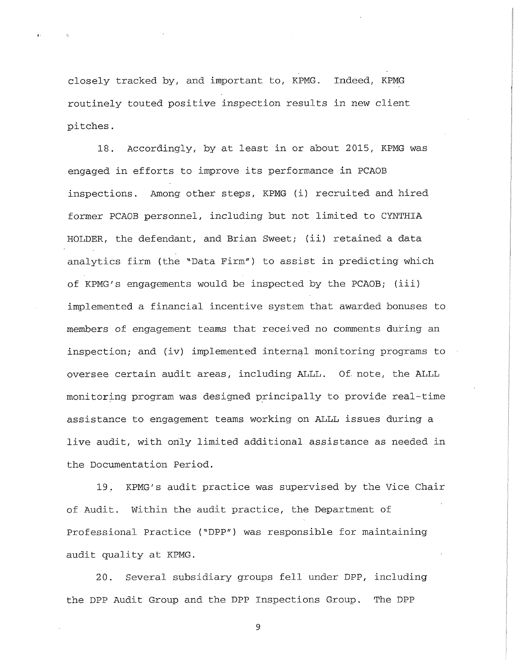closely tracked by, and important to, KPMG. Indeed, KPMG routinely touted positive inspection results in new client pitches.

18. Accordingly, by at least in or about 2015, KPMG was engaged in efforts to improve its performance in PCAOB inspections. Among other steps, KPMG (i) recruited and hired former PCAOB personnel, including but not limited to CYNTHIA HOLDER, the defendant, and Brian Sweet; (ii) retained a data analytics firm (the "Data Firm") to assist in predicting which of KPMG's engagements would be inspected by the PCAOB; (iii) implemented a financial incentive system that awarded bonuses to members of engagement teams that received no comments during an inspection; and (iv) implemented internal monitoring programs to oversee certain audit areas, including ALLL. Of. note, the ALLL monitoring program was designed principally to provide real-time assistance to engagement teams working on ALLL issues during a live audit, with only limited additional assistance as needed in the Documentation Period.

19. KPMG's audit practice was supervised by the Vice Chair of Audit. Within the audit practice, the Department of Professional Practice ("DPP") was responsible for maintaining audit quality at KPMG.

20. Several subsidiary groups fell under DPP, including the DPP Audit Group and the DPP Inspections Group. The DPP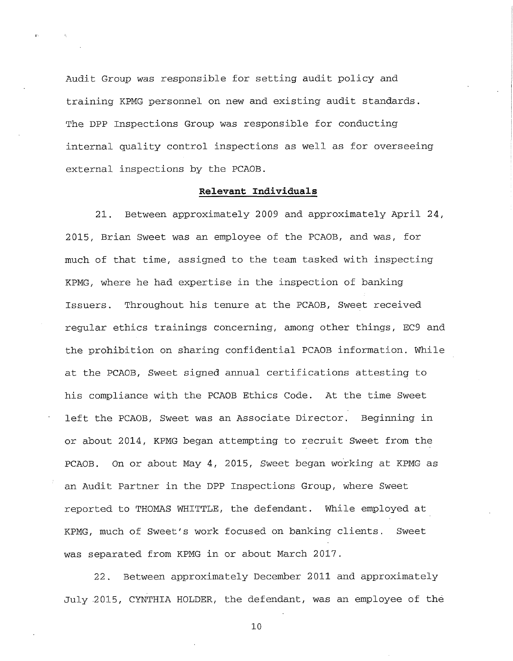Audit Group was responsible for setting audit policy and training KPMG personnel on new and existing audit standards. The DPP Inspections Group was responsible for conducting internal quality control inspections as well as for overseeing external inspections by the PCAOB.

### **Relevant Individuals**

21. Between approximately 2009 and approximately April 24, 2015, Brian Sweet was an employee of the PCAOB, and was, for much of that time, assigned to the team tasked with inspecting KPMG, where he had expertise in the inspection of banking Issuers. Throughout his tenure at the PCAOB, Sweet received regular ethics trainings concerning, among other things, EC9 and the prohibition on sharing confidential PCAOB information. While at the PCAOB, Sweet signed annual certifications attesting to his compliance with the PCAOB Ethics Code. At the time Sweet left the PCAOB, Sweet was an Associate Director. Beginning in or about 2014, KPMG began attempting to recruit Sweet from the PCAOB. On or about May 4, 2015, Sweet began working at KPMG as an Audit Partner in the DPP Inspections Group, where Sweet reported to THOMAS WHITTLE, the defendant. While employed at KPMG, much of Sweet's work focused on banking clients. Sweet was separated from KPMG in or about March 2017.

22. Between approximately December 2011 and approximately July .2015, CYNTHIA HOLDER, the defendant, was an employee of the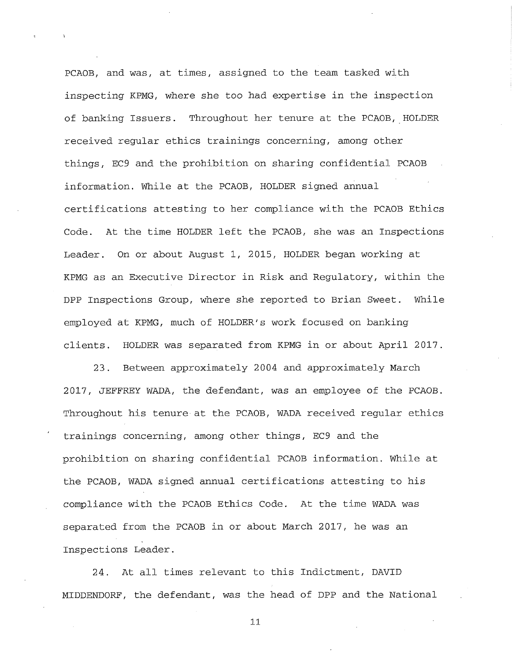PCAOB, and was, at times, assigned to the team tasked with inspecting KPMG, where she too had expertise in the inspection of banking Issuers. Throughout her tenure at the PCAOB, HOLDER received regular ethics trainings concerning, among other things, EC9 and the prohibition on sharing confidential PCAOB information. While at the PCAOB, HOLDER signed annual certifications attesting to her compliance with the PCAOB Ethics Code. At the time HOLDER left the PCAOB, she was an Inspections Leader. On or about August 1, 2015, HOLDER began working at KPMG as an Executive Director in Risk and Regulatory, within the DPP Inspections Group, where she reported to Brian Sweet. While employed at KPMG, much of HOLDER'S work focused on banking clients. HOLDER was separated from KPMG in or about April 2017.

23. Between approximately 2004 and approximately March 2017, JEFFREY WADA, the defendant, was an employee of the PCAOB. Throughout his tenure at the PCAOB, WADA received regular ethics trainings concerning, among other things, EC9 and the prohibition on sharing confidential PCAOB information. While at the PCAOB, WADA signed annual certifications attesting to his compliance with the PCAOB Ethics Code. At the time WADA was separated from the PCAOB in or about March 2017, he was an Inspections Leader.

24. At all times relevant to this Indictment, DAVID MIDDENDORF, the defendant, was the head of DPP and the National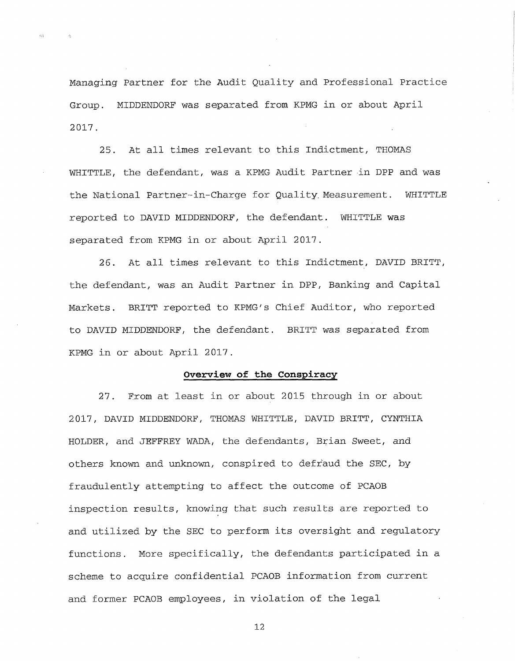Managing Partner for the Audit Quality and Professional Practice Group. MIDDENDORF was separated from KPMG in or about April 2017.

25. At all times relevant to this Indictment, THOMAS WHITTLE, the defendant, was a KPMG Audit Partner in DPP and was the National Partner-in-Charge for Quality. Measurement. WHITTLE reported to DAVID MIDDENDORF, the defendant. WHITTLE was separated from KPMG in or about April 2017.

26. At all times relevant to this Indictment, DAVID BRITT, the defendant, was an Audit Partner in DPP, Banking and Capital Markets. BRITT reported to KPMG's Chief Auditor, who reported to DAVID MIDDENDORF, the defendant. BRITT was separated from KPMG in or about April 2017.

### **Overview of the Conspiracy**

27. From at least in or about 2015 through in or about 2017, DAVID MIDDENDORF, THOMAS WHITTLE, DAVID BRITT, CYNTHIA HOLDER, and JEFFREY WADA, the defendants, Brian Sweet, and others known and unknown, conspired to defraud the SEC, by fraudulently attempting to affect the outcome of PCAOB inspection results, knowing that such results are reported to and utilized by the SEC to perform its oversight and regulatory functions. More specifically, the defendants participated in a scheme to acquire confidential PCAOB information from current and former PCAOB employees, in violation of the legal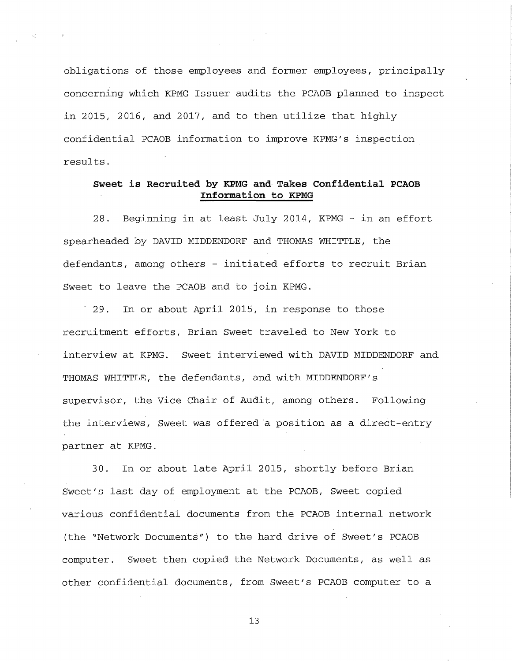obligations of those employees and former employees, principally concerning which KPMG Issuer audits the PCAOB planned to inspect in 2015, 2016, and 2017, and to then utilize that highly confidential PCAOB information to improve KPMG's inspection results.

# **Sweet is Recruited by KPMG and Takes Confidential PCAOB Information to KPMG**

28. Beginning in at least July 2014, KPMG - in an effort spearheaded by DAVID MIDDENDORF and THOMAS WHITTLE, the defendants, among others - initiated efforts to recruit Brian Sweet to leave the PCAOB and to join KPMG.

29. In or about April 2015, in response to those recruitment efforts, Brian Sweet traveled to New York to interview at KPMG. Sweet interviewed with DAVID MIDDENDORF and THOMAS WHITTLE, the defendants, and with MIDDENDORF's supervisor, the Vice Chair of Audit, among others. Following the interviews, Sweet was offered a position as a direct-entry partner at KPMG.

30. In or about late April 2015, shortly before Brian Sweet's last day of employment at the PCAOB, Sweet copied various confidential documents from the PCAOB internal network (the "Network Documents") to the hard drive of Sweet's PCAOB computer. Sweet then copied the Network Documents, as well as other confidential documents, from Sweet's PCAOB computer to a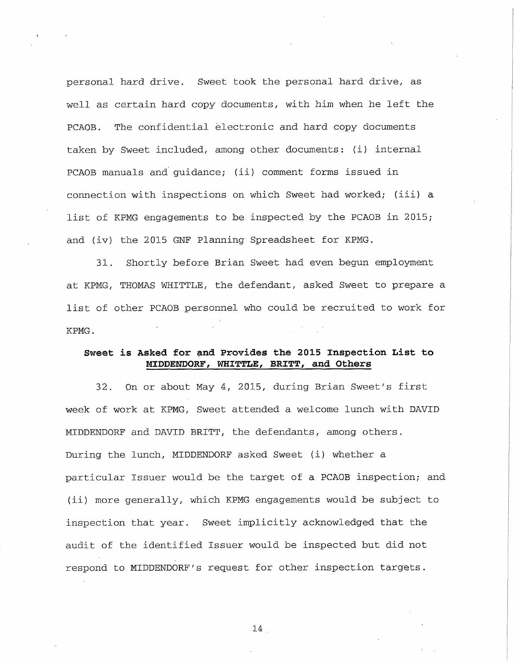personal hard drive. Sweet took the personal hard drive, as well as certain hard copy documents, with him when he left the PCAOB. The confidential electronic and hard copy documents taken by Sweet included, among other documents: (i) internal PCAOB manuals and guidance; (ii) comment forms issued in connection with inspections on which Sweet had worked; (iii) a list of KPMG engagements to be inspected by the PCAOB in 2015; and (iv) the 2015 GNF Planning Spreadsheet for KPMG.

31. Shortly before Brian Sweet had even begun employment at KPMG, THOMAS WHITTLE, the defendant, asked Sweet to prepare a list of other PCAOB personnel who could be recruited to work for KPMG.

### **Sweet is Asked for and Provides the 2015 Inspection List to MIDDENDORF, WHITTLE, BRITT, and Others**

32. On or about May 4, 2015, during Brian Sweet's first week of work at KPMG, Sweet attended a welcome lunch with DAVID MIDDENDORF and DAVID BRITT, the defendants, among others. During the lunch, MIDDENDORF asked Sweet (i) whether a particular Issuer would be the target of a PCAOB inspection; and (ii) more generally, which KPMG engagements would be subject to inspection that year. Sweet implicitly acknowledged that the audit of the identified Issuer would be inspected but did not respond to MIDDENDORF's request for other inspection targets.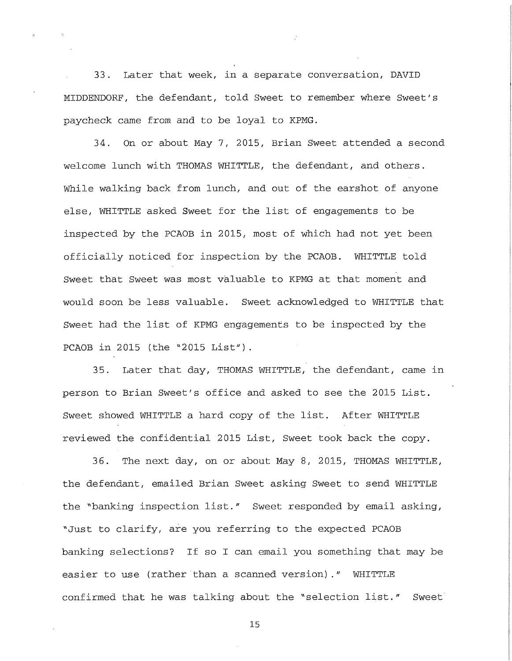33. Later that week, in a separate conversation, DAVID MIDDENDORF, the defendant, told Sweet to remember where Sweet's paycheck came from and to be loyal to KPMG.

34. On or about May 7, 2015, Brian Sweet attended a second welcome lunch with THOMAS WHITTLE, the defendant, and others. While walking back from lunch, and out of the earshot of anyone else, WHITTLE asked Sweet for the list of engagements to be inspected by the PCAOB in 2015, most of which had not yet been officially noticed for inspection by the PCAOB. WHITTLE told Sweet that Sweet was most valuable to KPMG at that moment and would soon be less valuable. Sweet acknowledged to WHITTLE that Sweet had the list of KPMG engagements to be inspected by the PCAOB in 2015 (the "2015 List").

35. Later that day, THOMAS WHITTLE, the defendant, came in person to Brian Sweet's office and asked to see the 2015 List. Sweet showed WHITTLE a hard copy of the list. After WHITTLE reviewed the confidential 2015 List, Sweet took back the copy.

36. The next day, on or about May 8, 2015, THOMAS WHITTLE, the defendant, emailed Brian Sweet asking Sweet to send WHITTLE the "banking inspection list." Sweet responded by email asking, "Just to clarify, are you referring to the expected PCAOB banking selections? If so I can email you something that may be easier to use (rather than a scanned version)." WHITTLE confirmed that he was talking about the "selection list." Sweet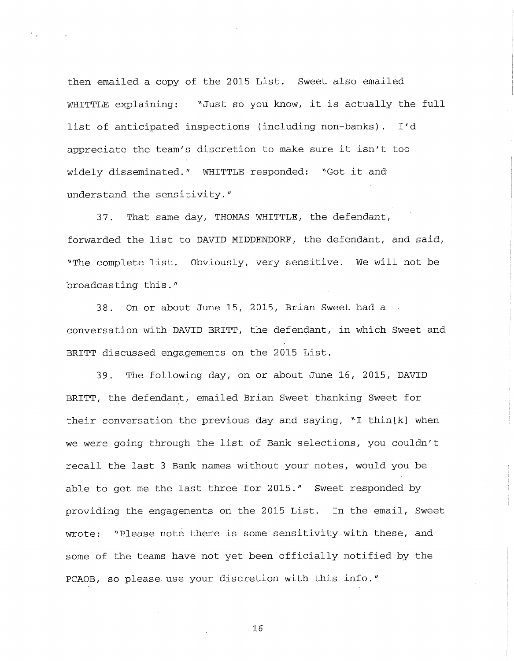then emailed a copy of the 2015 List. Sweet also emailed WHITTLE explaining: "Just so you know, it is actually the full list of anticipated inspections (including non-banks). I'd appreciate the team's discretion to make sure it isn't too widely disseminated." WHITTLE responded: "Got it and understand the sensitivity."

37. That same day, THOMAS WHITTLE, the defendant, forwarded the list to DAVID MIDDENDORF, the defendant, and said, "The complete list. Obviously, very sensitive. We will not be broadcasting this."

38. On or about June 15, 2015, Brian Sweet had a conversation with DAVID BRITT, the defendant, in which Sweet and BRITT discussed engagements on the 2015 List.

39. The following day, on or about June 16, 2015, DAVID BRITT, the defendant, emailed Brian Sweet thanking Sweet for their conversation the previous day and saying, "I thin[k] when we were going through the list of Bank selections, you couldn't recall the last 3 Bank names without your notes, would you be able to get me the last three for 2015." Sweet responded by providing the engagements on the 2015 List. In the email, Sweet wrote: "Please note there is some sensitivity with these, and some of the teams have not yet been officially notified by the PCAOB, so please, use your discretion with this info."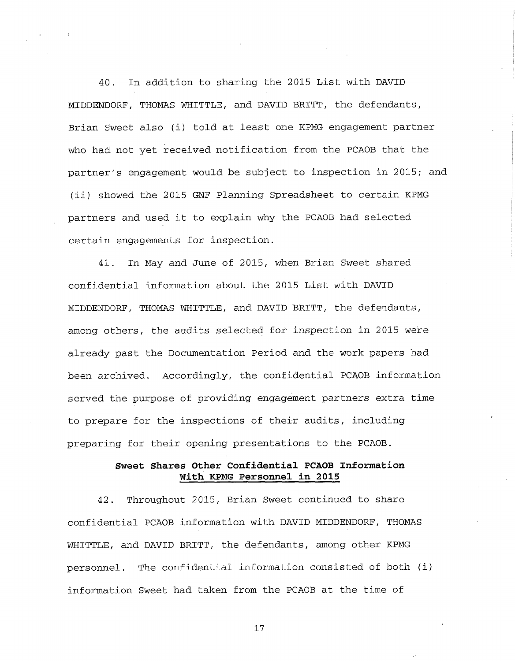40. In addition to sharing the 2015 List with DAVID MIDDENDORF, THOMAS WHITTLE, and DAVID BRITT, the defendants, Brian Sweet also (i) told at least one KPMG engagement partner who had not yet received notification from the PCAOB that the partner's engagement would be subject to inspection in 2015; and (ii) showed the 2015 GNF Planning Spreadsheet to certain KPMG partners and used it to explain why the PCAOB had selected certain engagements for inspection.

41. In May and June of 2015, when Brian Sweet shared confidential information about the 2015 List with DAVID MIDDENDORF, THOMAS WHITTLE, and DAVID BRITT, the defendants, among others, the audits selected for inspection in 2015 were already past the Documentation Period and the work papers had been archived. Accordingly, the confidential PCAOB information served the purpose of providing engagement partners extra time to prepare for the inspections of their audits, including preparing for their opening presentations to the PCAOB.

# **Sweet Shares Other Confidential PCAOB Information With KPMG Personnel in 2015**

42. Throughout 2015, Brian Sweet continued to share confidential PCAOB information with DAVID MIDDENDORF, THOMAS WHITTLE, and DAVID BRITT, the defendants, among other KPMG personnel. The confidential information consisted of both (i) information Sweet had taken from the PCAOB at the time of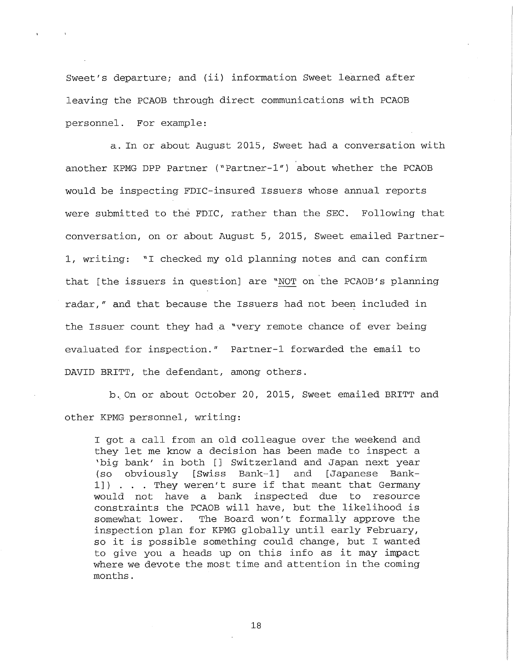Sweet's departure; and (ii) information Sweet learned after leaving the PCAOB through direct communications with PCAOB personnel. For example:

a. In or about August 2 015, Sweet had a conversation with another KPMG DPP Partner ("Partner-1") about whether the PCAOB would be inspecting FDIC-insured Issuers whose annual reports were submitted to the FDIC, rather than the SEC. Following that conversation, on or about August 5, 2015, Sweet emailed Partner-1, writing: "I checked my old planning notes and can confirm that [the issuers in question] are "NOT on the PCAOB's planning radar," and that because the Issuers had not been included in the Issuer count they had a "very remote chance of ever being evaluated for inspection." Partner-1 forwarded the email to DAVID BRITT, the defendant, among others.

b.. On or about October 20, 2015, Sweet emailed BRITT and other KPMG personnel, writing:

I got a call from an old colleague over the weekend and they let me know a decision has been made to inspect a 'big bank' in both [] Switzerland and Japan next year (so obviously [Swiss Bank-1] and [Japanese Bank-1]) . . . They weren't sure if that meant that Germany would not have a bank inspected due to resource constraints the PCAOB will have, but the likelihood is somewhat lower. The Board won't formally approve the inspection plan for KPMG globally until early February, so it is possible something could change, but I wanted to give you a heads up on this info as it may impact where we devote the most time and attention in the coming months.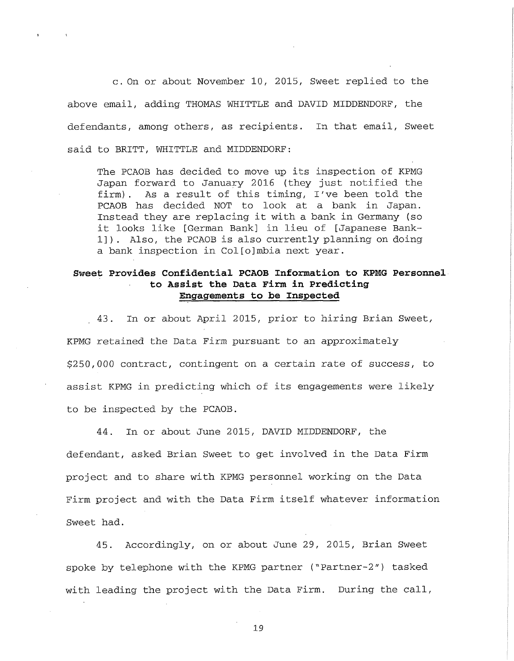c . On or about November 10, 2015, Sweet replied to the above email, adding THOMAS WHITTLE and DAVID MIDDENDORF, the defendants, among others, as recipients. In that email, Sweet said to BRITT, WHITTLE and MIDDENDORF:

The PCAOB has decided to move up its inspection of KPMG Japan forward to January 2016 (they just notified the firm). As a result of this timing, I've been told the PCAOB has decided NOT to look at a bank in Japan. Instead they are replacing it with a bank in Germany (so it looks like [German Bank] in lieu of [Japanese Bank-1] ) . Also, the PCAOB is also currently planning on doing a bank inspection in Col[o]mbia next year.

## **Sweet Provides Confidential PCAOB Information to KPMG Personnel to Assist the Data Firm in Predicting Engagements to be Inspected**

.43. In or about April 2015, prior to hiring Brian Sweet, KPMG retained the Data Firm pursuant to an approximately \$250,000 contract, contingent on a certain rate of success, to assist KPMG in predicting which of its engagements were likely to be inspected by the PCAOB.

44. In or about June 2015, DAVID MIDDENDORF, the defendant, asked Brian Sweet to get involved in the Data Firm project and to share with KPMG personnel working on the Data Firm project and with the Data Firm itself whatever information Sweet had.

45. Accordingly, on or about June 29, 2015, Brian Sweet spoke by telephone with the KPMG partner ("Partner-2") tasked with leading the project with the Data Firm. During the call,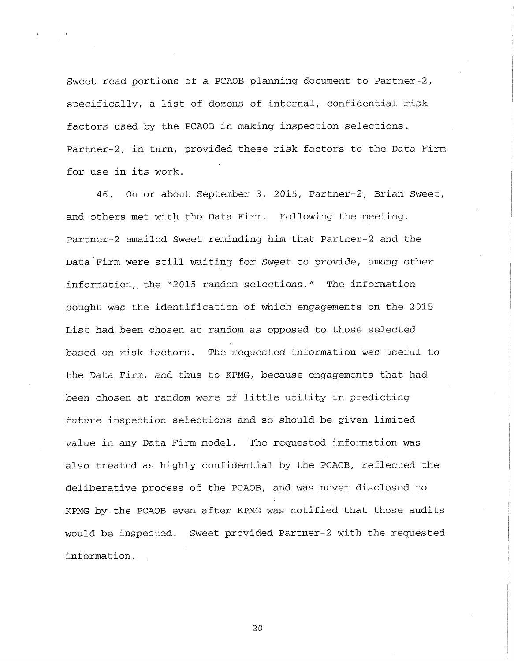Sweet read portions of a PCAOB planning document to Partner-2, specifically, a list of dozens of internal, confidential risk factors used by the PCAOB in making inspection selections. Partner-2, in turn, provided these risk factors to the Data Firm for use in its work.

46. On or about September 3, 2015, Partner-2, Brian Sweet, and others met with the Data Firm. Following the meeting, Partner-2 emailed Sweet reminding him that Partner-2 and the Data Firm were still waiting for Sweet to provide, among other information,, the "2015 random selections." The information sought was the identification of which engagements on the 2015 List had been chosen at random as opposed to those selected based on risk factors. The requested information was useful to the Data Firm, and thus to KPMG, because engagements that had been chosen at random were of little utility in predicting future inspection selections and so should be given limited value in any Data Firm model. The requested information was also treated as highly confidential by the PCAOB, reflected the deliberative process of the PCAOB, and was never disclosed to KPMG by the PCAOB even after KPMG was notified that those audits would be inspected. Sweet provided Partner-2 with the requested information.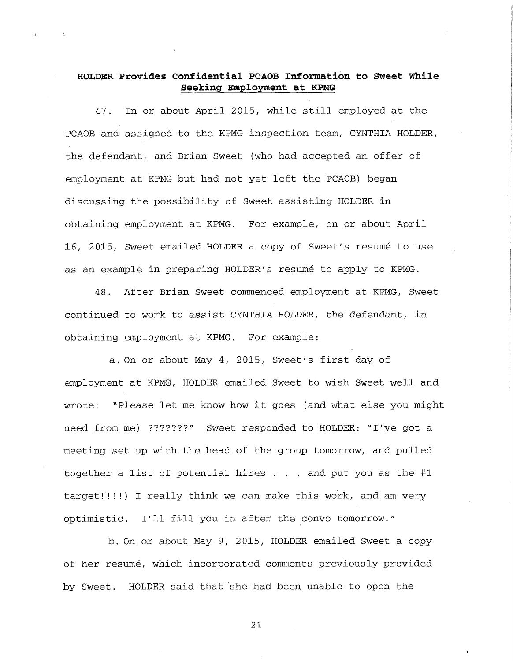# **HOLDER Provides Confidential PCAOB Information to Sweet While Seeking Employment at KPMG**

47. In or about April 2015, while still employed at the PCAOB and assigned to the KPMG inspection team, CYNTHIA HOLDER, the defendant, and Brian Sweet (who had accepted an offer of employment at KPMG but had not yet left the PCAOB) began discussing the possibility of Sweet assisting HOLDER in obtaining employment at KPMG. For example, on or about April 16, 2015, Sweet emailed HOLDER a copy of Sweet's resume to use as an example in preparing HOLDER'S resume to apply to KPMG.

48. After Brian Sweet commenced employment at KPMG, Sweet continued to work to assist CYNTHIA HOLDER, the defendant, in obtaining employment at KPMG. For example:

a. On or about May 4, 2015, Sweet's first day of employment at KPMG, HOLDER emailed Sweet to wish Sweet well and wrote: "Please let me know how it goes (and what else you might need from me) ???????" Sweet responded to HOLDER: "I've got a meeting set up with the head of the group tomorrow, and pulled together a list of potential hires  $\ldots$  and put you as the #1 target!!!!) I really think we can make this work, and am very optimistic. I'll fill you in after the convo tomorrow."

b. On or about May 9, 2015, HOLDER emailed Sweet a copy of her resume, which incorporated comments previously provided by Sweet. HOLDER said that she had been unable to open the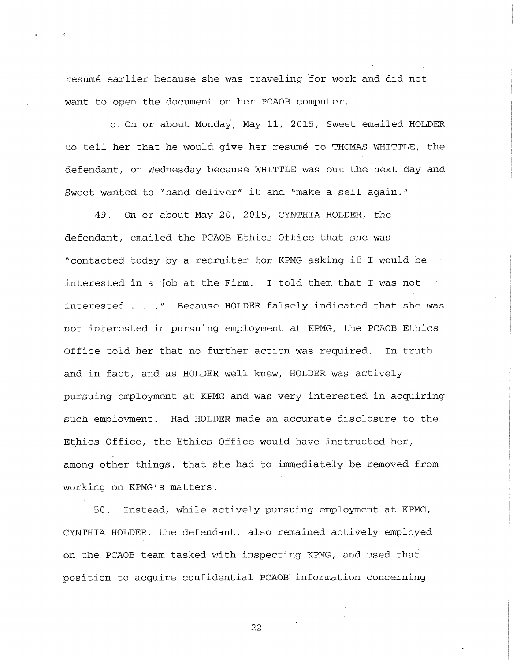resume earlier because she was traveling for work and did not want to open the document on her PCAOB computer.

c . On or about Monday, May 11, 2015, Sweet emailed HOLDER to tell her that he would give her resumé to THOMAS WHITTLE, the defendant, on Wednesday because WHITTLE was out the next day and Sweet wanted to "hand deliver" it and "make a sell again."

49. On or about May 20, 2015, CYNTHIA HOLDER, the defendant, emailed the PCAOB Ethics Office that she was "contacted today by a recruiter for KPMG asking if I would be interested in a job at the Firm. I told them that I was not interested . . ." Because HOLDER falsely indicated that she was not interested in pursuing employment at KPMG, the PCAOB Ethics Office told her that no further action was required. In truth and in fact, and as HOLDER well knew, HOLDER was actively pursuing employment at KPMG and was very interested in acquiring such employment. Had HOLDER made an accurate disclosure to the Ethics Office, the Ethics Office would have instructed her, among other things, that she had to immediately be removed from working on KPMG's matters.

50. Instead, while actively pursuing employment at KPMG, CYNTHIA HOLDER, the defendant, also remained actively employed on the PCAOB team tasked with inspecting KPMG, and used that position to acquire confidential PCAOB information concerning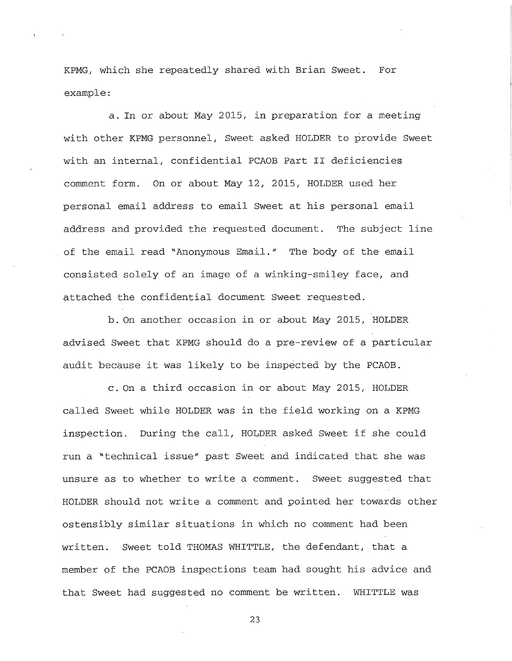KPMG, which she repeatedly shared with Brian Sweet. For example:

a. In or about May 2015, in preparation for a meeting with other KPMG personnel, Sweet asked HOLDER to provide Sweet with an internal, confidential PCAOB Part II deficiencies comment form. On or about May 12, 2015, HOLDER used her personal email address to email Sweet at his personal email address and provided the requested document. The subject line of the email read "Anonymous Email." The body of the email consisted solely of an image of a winking-smiley face, and attached the confidential document Sweet requested.

b. On another occasion in or about May 2015, HOLDER advised Sweet that KPMG should do a pre-review of a particular audit because it was likely to be inspected by the PCAOB.

c. On a third occasion in or about May 2015, HOLDER called Sweet while HOLDER was in the field working on a KPMG inspection. During the call, HOLDER asked Sweet if she could run a "technical issue" past Sweet and indicated that she was unsure as to whether to write a comment. Sweet suggested that HOLDER should not write a comment and pointed her towards other ostensibly similar situations in which no comment had been written. Sweet told THOMAS WHITTLE, the defendant, that a member of the PCAOB inspections team had sought his advice and that Sweet had suggested no comment be written. WHITTLE was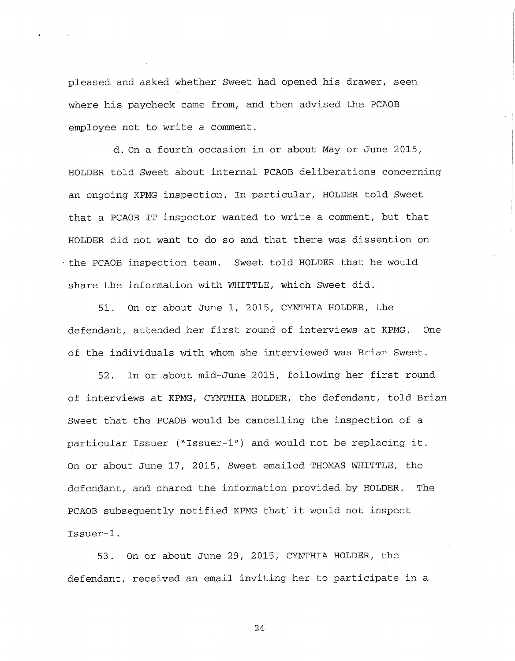pleased and asked whether Sweet had opened his drawer, seen where his paycheck came from, and then advised the PCAOB employee not to write a comment.

d. On a fourth occasion in or about May or June 2015, HOLDER told Sweet about internal PCAOB deliberations concerning an ongoing KPMG inspection. In particular, HOLDER told Sweet that a PCAOB IT inspector wanted to write a comment, but that HOLDER did not want to do so and that there was dissention on the PCAOB inspection team. Sweet told HOLDER that he would share the information with WHITTLE, which Sweet did.

51. On or about June 1, 2015, CYNTHIA HOLDER, the defendant, attended her first round of interviews at KPMG. One of the individuals with whom she interviewed was Brian Sweet.

52. In or about mid-June 2015, following her first round of interviews at KPMG, CYNTHIA HOLDER, the defendant, told Brian Sweet that the PCAOB would be cancelling the inspection of a particular Issuer ("Issuer-1") and would not be replacing it. On or about June 17, 2015, Sweet emailed THOMAS WHITTLE, the defendant, and shared the information provided by HOLDER. The PCAOB subsequently notified KPMG that' it would not inspect Issuer-1.

53. On or about June 29, 2015, CYNTHIA HOLDER, the defendant, received an email inviting her to participate in a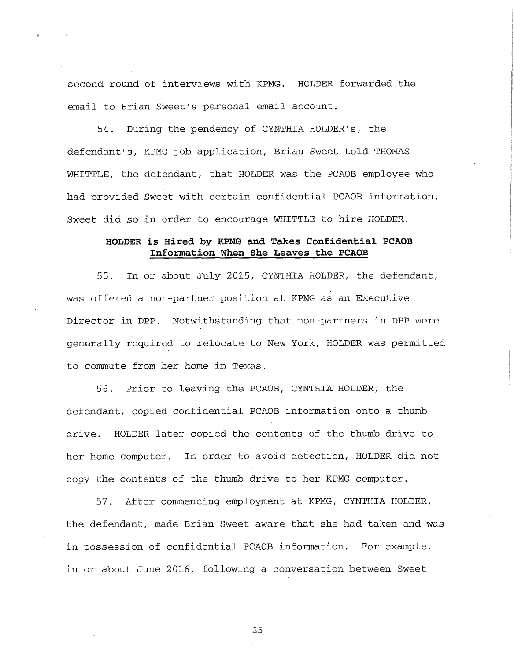second round of interviews with KPMG. HOLDER forwarded the email to Brian Sweet's personal email account.

54. During the pendency of CYNTHIA HOLDER'S, the defendant's, KPMG job application, Brian Sweet told THOMAS WHITTLE, the defendant, that HOLDER was the PCAOB employee who had provided Sweet with certain confidential PCAOB information. Sweet did so in order to encourage WHITTLE to hire HOLDER.

## **HOLDER is Hired by KPMG and Takes Confidential PCAOB Information When She Leaves the PCAOB**

55. In or about July 2015, CYNTHIA HOLDER, the defendant, was offered a non-partner position at KPMG as an Executive Director in DPP. Notwithstanding that non-partners in DPP were generally required to relocate to New York, HOLDER was permitted to commute from her home in Texas.

56. Prior to leaving the PCAOB, CYNTHIA HOLDER, the defendant, copied confidential PCAOB information onto a thumb drive. HOLDER later copied the contents of the thumb drive to her home computer. In order to avoid detection, HOLDER did not copy the contents of the thumb drive to her KPMG computer.

57. After commencing employment at KPMG, CYNTHIA HOLDER, the defendant, made Brian Sweet aware that she had taken and was in possession of confidential PCAOB information. For example, in or about June 2016, following a conversation between Sweet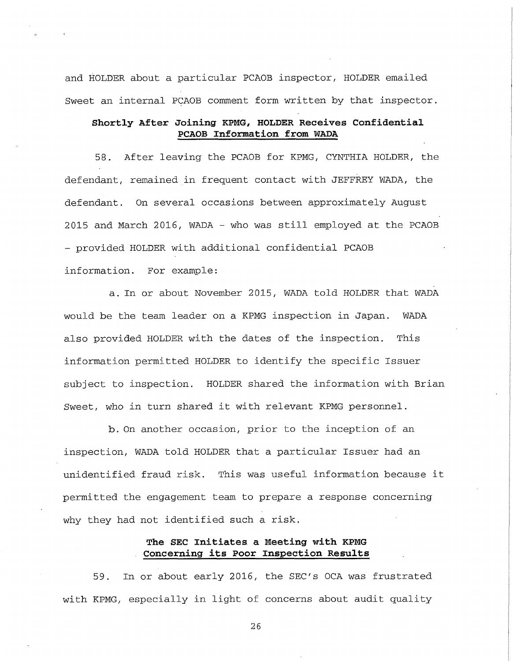and HOLDER about a particular PCAOB inspector, HOLDER emailed Sweet an internal PCAOB comment form written by that inspector.

## **Shortly After Joining KPMG, HOLDER Receives Confidential PCAOB Information from WADA**

58. After leaving the PCAOB for KPMG, CYNTHIA HOLDER, the defendant, remained in frequent contact with JEFFREY WADA, the defendant. On several occasions between approximately August 2015 and March 2016, WADA - who was still employed at the PCAOB - provided HOLDER with additional confidential PCAOB information. For example:

a. In or about November 2015, WADA told HOLDER that WADA would be the team leader on a KPMG inspection in Japan. WADA also provided HOLDER with the dates of the inspection. This information permitted HOLDER to identify the specific Issuer subject to inspection. HOLDER shared the information with Brian Sweet, who in turn shared it with relevant KPMG personnel.

b. On another occasion, prior to the inception of an inspection, WADA told HOLDER that a particular Issuer had an unidentified fraud risk. This was useful information because it permitted the engagement team to prepare a response concerning why they had not identified such a risk.

## **The SEC Initiates a Meeting with KPMG Concerning its Poor Inspection Results**

59. In or about early 2016, the SEC's OCA was frustrated with KPMG, especially in light of concerns about audit quality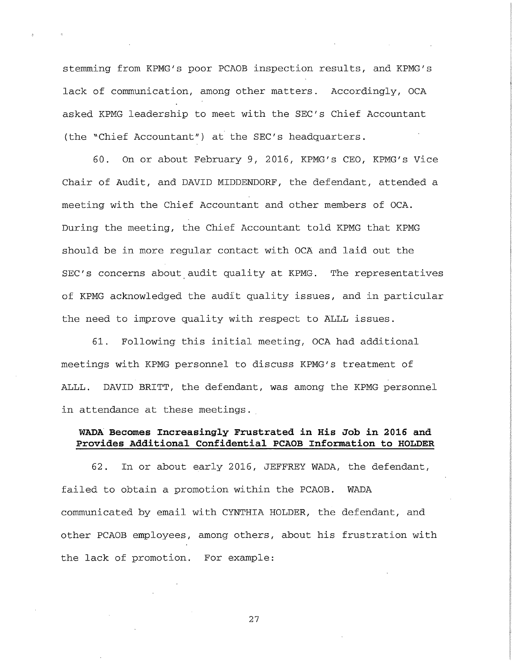stemming from KPMG's poor PCAOB inspection results, and KPMG's lack of communication, among other matters. Accordingly, OCA asked KPMG leadership to meet with the SEC's Chief Accountant (the "Chief Accountant") at the SEC's headquarters.

60. On or about February 9, 2016, KPMG's CEO, KPMG's Vice Chair of Audit, and DAVID MIDDENDORF, the defendant, attended a meeting with the Chief Accountant and other members of OCA. During the meeting, the Chief Accountant told KPMG that KPMG should be in more regular contact with OCA and laid out the SEC's concerns about audit quality at KPMG. The representatives of KPMG acknowledged the audit quality issues, and in particular the need to improve quality with respect to ALLL issues.

61. Following this initial meeting, OCA had additional meetings with KPMG personnel to discuss KPMG's treatment of ALLL. DAVID BRITT, the defendant, was among the KPMG personnel in attendance at these meetings.

## **WADA Becomes Increasingly Frustrated in His Job in 2016 and Provides Additional Confidential PCAOB Information to HOLDER**

62. In or about early 2016, JEFFREY WADA, the defendant, failed to obtain a promotion within the PCAOB. WADA communicated by email with CYNTHIA HOLDER, the defendant, and other PCAOB employees, among others, about his frustration with the lack of promotion. For example: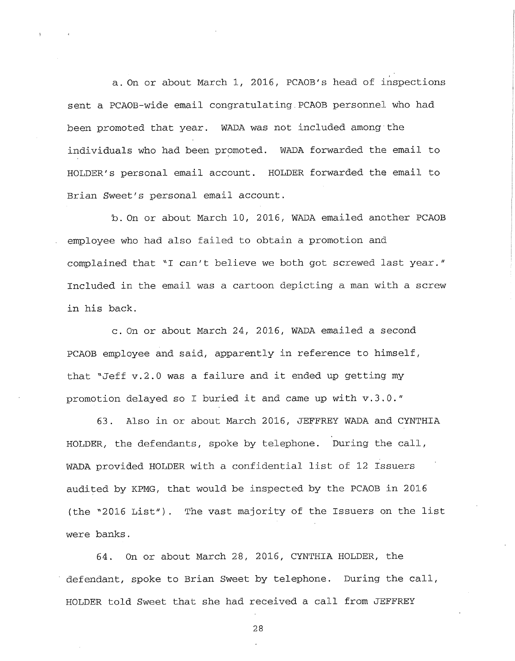a. On or about March 1, 2016, PCAOB's head of inspections sent a PCAOB-wide email congratulating.PCAOB personnel who had been promoted that year. WADA was not included among the individuals who had been promoted. WADA forwarded the email to HOLDER'S personal email account. HOLDER forwarded the email to Brian Sweet's personal email account.

b. On or about March 10, 2016, WADA emailed another PCAOB employee who had also failed to obtain a promotion and complained that "I can't believe we both got screwed last year." Included in the email was a cartoon depicting a man with a screw in his back.

c. On or about March 24, 2016, WADA emailed a second PCAOB employee and said, apparently in reference to himself, that "Jeff v.2.0 was a failure and it ended up getting my promotion delayed so I buried it and came up with v.3.0."

63. Also in or about March 2016, JEFFREY WADA and CYNTHIA HOLDER, the defendants, spoke by telephone. During the call, WADA provided HOLDER with a confidential list of 12 Issuers audited by KPMG, that would be inspected by the PCAOB in 2016 (the "2016 List"). The vast majority of the Issuers on the list were banks.

64. On or about March 28, 2016, CYNTHIA HOLDER, the defendant, spoke to Brian Sweet by telephone. During the call, HOLDER told Sweet that she had received a call from JEFFREY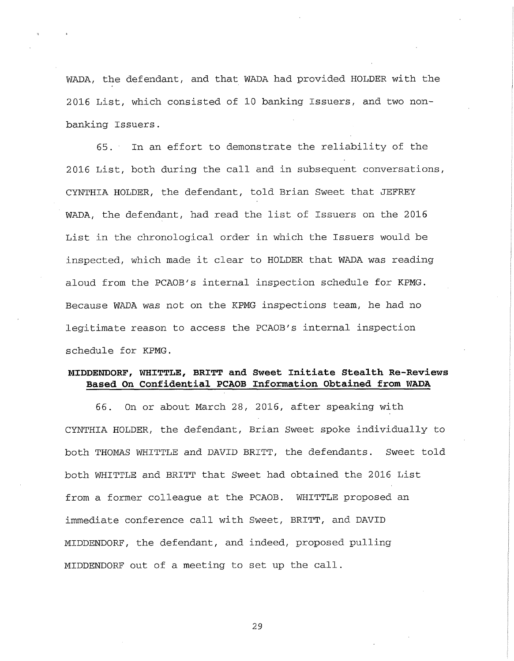WADA, the defendant, and that WADA had provided HOLDER with the 2016 List, which consisted of 10 banking Issuers, and two nonbanking Issuers.

65. In an effort to demonstrate the reliability of the 2016 List, both during the call and in subsequent conversations, CYNTHIA HOLDER, the defendant, told Brian Sweet that JEFREY WADA, the defendant, had read the list of Issuers on the 2016 List in the chronological order in which the Issuers would be inspected, which made it clear to HOLDER that WADA was reading aloud from the PCAOB's internal inspection schedule for KPMG. Because WADA was not on the KPMG inspections team, he had no legitimate reason to access the PCAOB's internal inspection schedule for KPMG.

## **MIDDENDORF, WHITTLE, BRITT and Sweet Initiate Stealth Re-Reviews Based On Confidential PCAOB Information Obtained from WADA**

66. On or about March 28, 2016, after speaking with CYNTHIA HOLDER, the defendant, Brian Sweet spoke individually to both THOMAS WHITTLE and DAVID BRITT, the defendants. Sweet told both WHITTLE and BRITT that Sweet had obtained the 2016 List from a former colleague at the PCAOB. WHITTLE proposed an immediate conference call with Sweet, BRITT, and DAVID MIDDENDORF, the defendant, and indeed, proposed pulling MIDDENDORF out of a meeting to set up the call.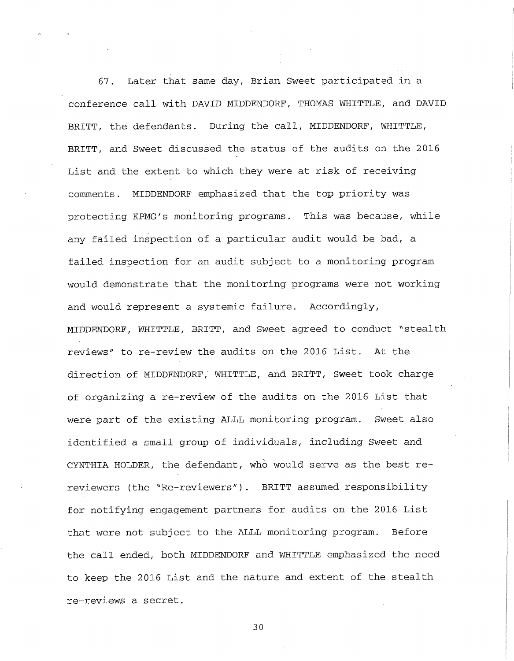67. Later that same day, Brian Sweet participated in a conference call with DAVID MIDDENDORF, THOMAS WHITTLE, and DAVID BRITT, the defendants. During the call, MIDDENDORF, WHITTLE, BRITT, and Sweet discussed the status of the audits on the 2016 List and the extent to which they were at risk of receiving comments. MIDDENDORF emphasized that the top priority was protecting KPMG's monitoring programs. This was because, while any failed inspection of a particular audit would be bad, a failed inspection for an audit subject to a monitoring program would demonstrate that the monitoring programs were not working and would represent a systemic failure. Accordingly, MIDDENDORF, WHITTLE, BRITT, and Sweet agreed to conduct "stealth reviews" to re-review the audits on the 2016 List. At the direction of MIDDENDORF,' WHITTLE, and BRITT, Sweet took charge of organizing a re-review of the audits on the 2016 List that were part of the existing ALLL monitoring program. Sweet also identified a small group of individuals, including Sweet and CYNTHIA HOLDER, the defendant, who would serve as the best rereviewers (the "Re-reviewers"). BRITT assumed responsibility for notifying engagement partners for audits on the 2016 List that were not subject to the ALLL monitoring program. Before the call ended, both MIDDENDORF and WHITTLE emphasized the need to keep the 2016 List and the nature and extent of the stealth re-reviews a secret.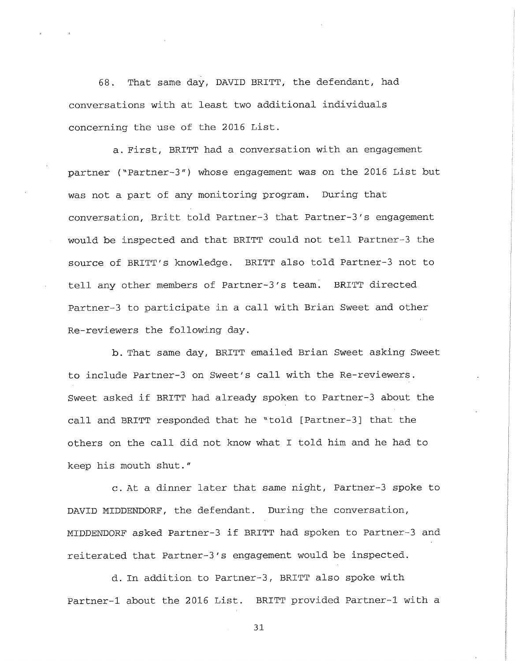68. That same day, DAVID BRITT, the defendant, had conversations with at least two additional individuals concerning the use of the 2016 List.

a. First, BRITT had a conversation with an engagement partner ("Partner-3") whose engagement was on the 2016 List but was not a part of any monitoring program. During that conversation, Britt told Partner-3 that Partner-3's engagement would be inspected and that BRITT could not tell Partner-3 the source of BRITT's knowledge. BRITT also told Partner-3 not to tell any other members of Partner-3's team. BRITT directed Partner-3 to participate in a call with Brian Sweet and other Re-reviewers the following day.

b. That same day, BRITT emailed Brian Sweet asking Sweet to include Partner-3 on Sweet's call with the Re-reviewers. Sweet asked if BRITT had already spoken to Partner-3 about the call and BRITT responded that he "told [Partner-3] that the others on the call did not know what I told him and he had to keep his mouth shut."

c. At a dinner later that same night, Partner-3 spoke to DAVID MIDDENDORF, the defendant. During the conversation, MIDDENDORF asked Partner-3 if BRITT had spoken to Partner-3 and reiterated that Partner-3's engagement would be inspected.

d. In addition to Partner-3, BRITT also spoke with Partner-1 about the 2016 List. BRITT provided Partner-1 with a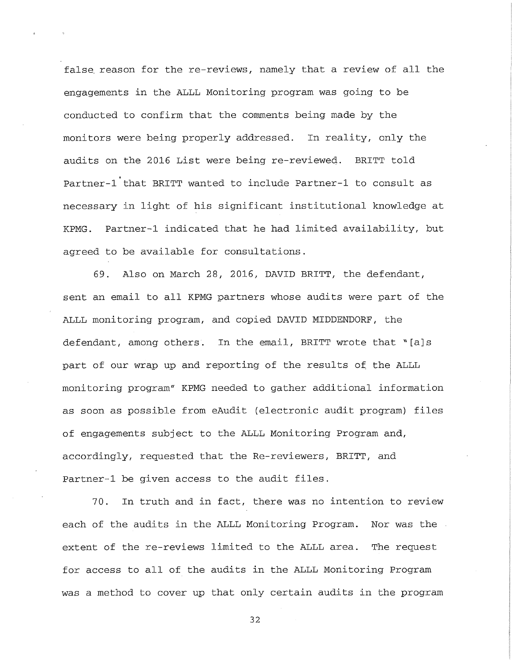false, reason for the re-reviews, namely that a review of all the engagements in the ALLL Monitoring program was going to be conducted to confirm that the comments being made by the monitors were being properly addressed. In reality, only the audits on the 2016 List were being re-reviewed. BRITT told t Partner-1 that BRITT wanted to include Partner-1 to consult as necessary in light of his significant institutional knowledge at KPMG. Partner-1 indicated that he had limited availability, but agreed to be available for consultations.

69. Also on March 28, 2016, DAVID BRITT, the defendant, sent an email to all KPMG partners whose audits were part of the ALLL monitoring program, and copied DAVID MIDDENDORF, the defendant, among others. In the email, BRITT wrote that "[a]s part of our wrap up and reporting of the results of the ALLL monitoring program" KPMG needed to gather additional information as soon as possible from eAudit (electronic audit program) files of engagements subject to the ALLL Monitoring Program and, accordingly, requested that the Re-reviewers, BRITT, and Partner-1 be given access to the audit files.

70. In truth and in fact, there was no intention to review each of the audits in the ALLL Monitoring Program. Nor was the extent of the re-reviews limited to the ALLL area. The request for access to all of the audits in the ALLL Monitoring Program was a method to cover up that only certain audits in the program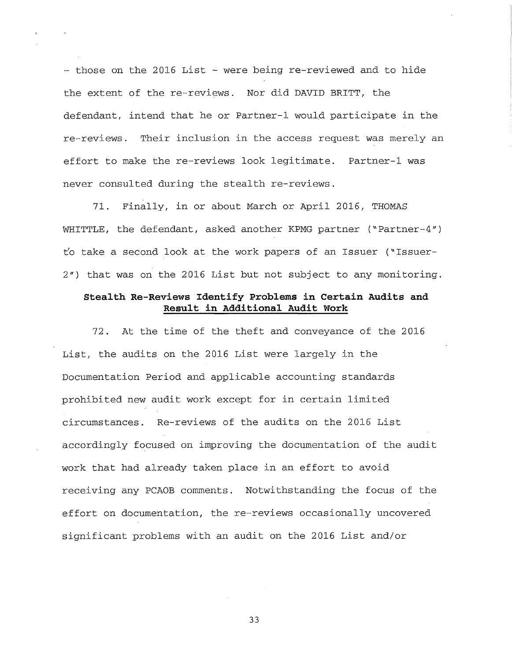- those on the 2016 List - were being re-reviewed and to hide the extent of the re-reviews. Nor did DAVID BRITT, the defendant, intend that he or Partner-1 would participate in the re-reviews. Their inclusion in the access request was merely an effort to make the re-reviews look legitimate. Partner-1 was never consulted during the stealth re-reviews.

71. Finally, in or about March or April 2016, THOMAS WHITTLE, the defendant, asked another KPMG partner ("Partner-4") t'o take a second look at the work papers of an Issuer ("Issuer-*2")* that was on the 2016 List but not subject to any monitoring.

## **Stealth Re-Reviews Identify Problems in Certain Audits and Result in Additional Audit Work**

72. At the time of the theft and conveyance of the 2016 List, the audits on the 2016 List were largely in the Documentation Period and applicable accounting standards prohibited new audit work except for in certain limited circumstances. Re-reviews of the audits on the 2016 List accordingly focused on improving the documentation of the audit work that had already taken place in an effort to avoid receiving any PCAOB comments. Notwithstanding the focus of the effort on documentation, the re-reviews occasionally uncovered significant problems with an audit on the 2016 List and/or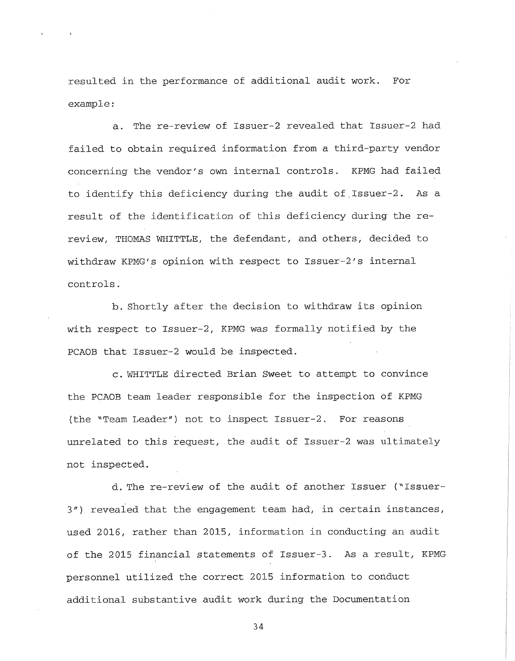resulted in the performance of additional audit work. For example:

a. The re-review of Issuer-2 revealed that Issuer-2 had failed to obtain required information from a third-party vendor concerning the vendor's own internal controls. KPMG had failed to identify this deficiency during the audit of.Issuer-2. As a result of the identification of this deficiency during the rereview, THOMAS WHITTLE, the defendant, and others, decided to withdraw KPMG's opinion with respect to Issuer-2's internal controls.

b. Shortly after the decision to withdraw its opinion with respect to Issuer-2, KPMG was formally notified by the PCAOB that Issuer-2 would be inspected.

c . WHITTLE directed Brian Sweet to attempt to convince the PCAOB team leader responsible for the inspection of KPMG (the "Team Leader") not to inspect Issuer-2. For reasons unrelated to this request, the audit of Issuer-2 was ultimately not inspected.

d. The re-review of the audit of another Issuer ("Issuers'') revealed that the engagement team had, in certain instances, used 2016, rather than 2015, information in conducting an audit of the 2015 financial statements of Issuer-3. As a result, KPMG personnel utilized the correct 2015 information to conduct additional substantive audit work during the Documentation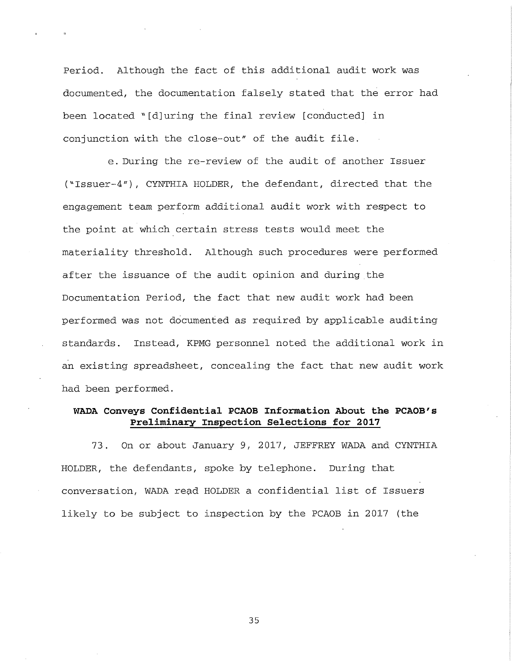Period. Although the fact of this additional audit work was documented, the documentation falsely stated that the error had been located "[d]uring the final review [conducted] in conjunction with the close-out" of the audit file.

e. During the re-review of the audit of another Issuer ("Issuer-4"), CYNTHIA HOLDER, the defendant, directed that the engagement team perform additional audit work with respect to the point at which certain stress tests would meet the materiality threshold. Although such procedures were performed after the issuance of the audit opinion and during the Documentation Period, the fact that new audit work had been performed was not documented as required by applicable auditing standards. Instead, KPMG personnel noted the additional work in an existing spreadsheet, concealing the fact that new audit work had been performed.

# **WADA Conveys Confidential PCAOB Information About the PCAOB's Preliminary Inspection Selections for 2017**

73. On or about January 9, 2017, JEFFREY WADA and CYNTHIA HOLDER, the defendants, spoke by telephone. During that conversation, WADA read HOLDER a confidential list of Issuers likely to be subject to inspection by the PCAOB in 2017 (the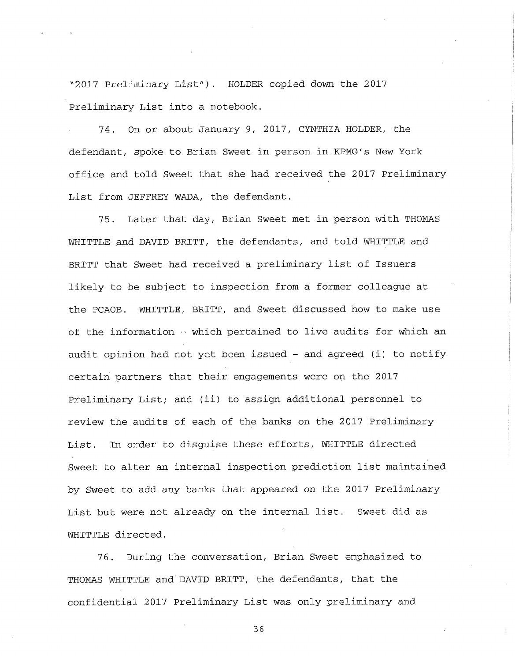"2017 Preliminary List"). HOLDER copied down the 2017 Preliminary List into a notebook.

74. On or about January 9, 2017, CYNTHIA HOLDER, the defendant, spoke to Brian Sweet in person in KPMG's New York office and told Sweet that she had received the 2017 Preliminary List from JEFFREY WADA, the defendant.

75. Later that day, Brian Sweet met in person with THOMAS WHITTLE and DAVID BRITT, the defendants, and told WHITTLE and BRITT that Sweet had received a preliminary list of Issuers likely to be subject to inspection from a former colleague at the PCAOB. WHITTLE, BRITT, and Sweet discussed how to make use of the information - which pertained to live audits for which an audit opinion had not yet been issued - and agreed (i) to notify certain partners that their engagements were on the 2017 Preliminary List; and (ii) to assign additional personnel to review the audits of each of the banks on the 2017 Preliminary List. In order to disguise these efforts, WHITTLE directed Sweet to alter an internal inspection prediction list maintained by Sweet to add any banks that appeared on the 2017 Preliminary List but were not already on the internal list. Sweet did as WHITTLE directed.

76. During the conversation, Brian Sweet emphasized to THOMAS WHITTLE and'DAVID BRITT, the defendants, that the confidential 2017 Preliminary List was only preliminary and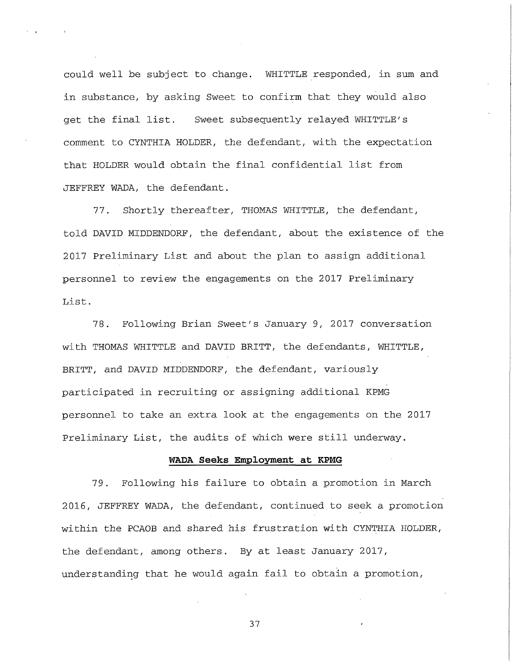could well be subject to change. WHITTLE responded, in sum and in substance, by asking Sweet to confirm that they would also get the final list. Sweet subsequently relayed WHITTLE'S comment to CYNTHIA HOLDER, the defendant, with the expectation that HOLDER would obtain the final confidential list from JEFFREY WADA, the defendant.

77. Shortly thereafter, THOMAS WHITTLE, the defendant, told DAVID MIDDENDORF, the defendant, about the existence of the 2017 Preliminary List and about the plan to assign additional personnel to review the engagements on the 2017 Preliminary List.

78. Following Brian Sweet's January 9, 2017 conversation with THOMAS WHITTLE and DAVID BRITT, the defendants, WHITTLE, BRITT, and DAVID MIDDENDORF, the defendant, variously participated in recruiting or assigning additional KPMG personnel to take an extra look at the engagements on the 2017 Preliminary List, the audits of which were still underway.

### **WADA Seeks Employment at KPMG**

79. Following his failure to obtain a promotion in March 2016, JEFFREY WADA, the defendant, continued to seek a promotion within the PCAOB and shared his frustration with CYNTHIA HOLDER, the defendant, among others. By at least January 2017, understanding that he would again fail to obtain a promotion,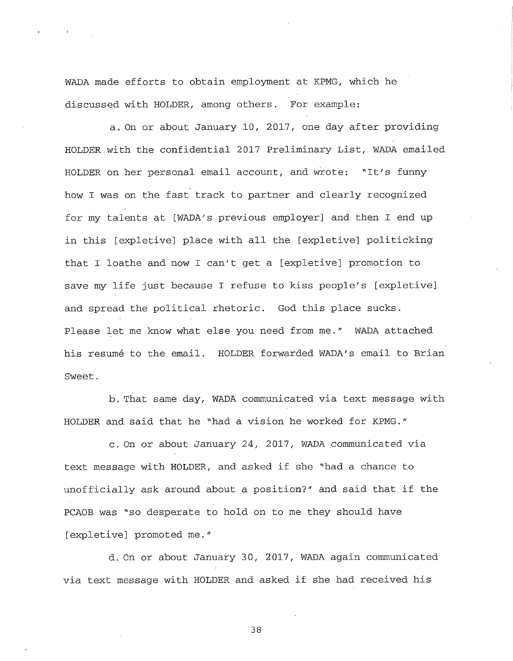WADA made efforts to obtain employment at KPMG, which he discussed with HOLDER, among others. For example:

a. On or about January 10, 2017, one day after providing HOLDER with the confidential 2017 Preliminary List, WADA emailed HOLDER on her personal email account, and wrote: "It's funny how I was on the fast track to partner and clearly recognized for my talents at [WADA's previous employer] and then I end up in this [expletive] place with all the [expletive] politicking that I loathe and now I can't get a [expletive] promotion to save my life just because I refuse to kiss people's [expletive] and spread the political rhetoric. God this place sucks. Please let me know what else you need from me." WADA attached his resumé to the email. HOLDER forwarded WADA's email to Brian Sweet.

b. That same day, WADA communicated via text message with HOLDER and said that he "had a vision he worked for KPMG."

c. On or about January 24, 2017, WADA communicated via text message with HOLDER, and asked if she "had a chance to unofficially ask around about a position?" and said that if the PCAOB was "so desperate to hold on to me they should have [expletive] promoted me."

d. On or about January 30, 2017, WADA again communicated via text message with HOLDER and asked if she had received his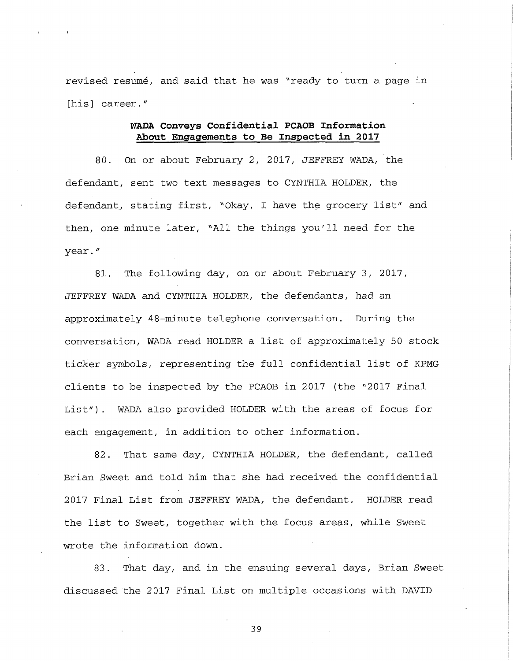revised resume, and said that he was "ready to turn a page in [his] career."

i.

## **WADA Conveys Confidential PCAOB Information About Engagements to Be Inspected in 2017**

80. On or about February 2, 2017, JEFFREY WADA, the defendant, sent two text messages to CYNTHIA HOLDER, the defendant, stating first, "Okay, I have the grocery list" and then, one minute later, "All the things you'll need for the year. *"*

81. The following day, on or about February 3, 2017, JEFFREY WADA and CYNTHIA HOLDER, the defendants, had an approximately 48-minute telephone conversation. During the conversation, WADA read HOLDER a list of approximately 50 stock ticker symbols, representing the full confidential list of KPMG clients to be inspected by the PCAOB in 2017 (the "2017 Final List"). WADA also provided HOLDER with the areas of focus for each engagement, in addition to other information.

82. That same day, CYNTHIA HOLDER, the defendant, called Brian Sweet and told him that she had received the confidential 2017 Final List from JEFFREY WADA, the defendant. HOLDER read the list to Sweet, together with the focus areas, while Sweet wrote the information down.

83. That day, and in the ensuing several days, Brian Sweet discussed the 2017 Final List on multiple occasions with DAVID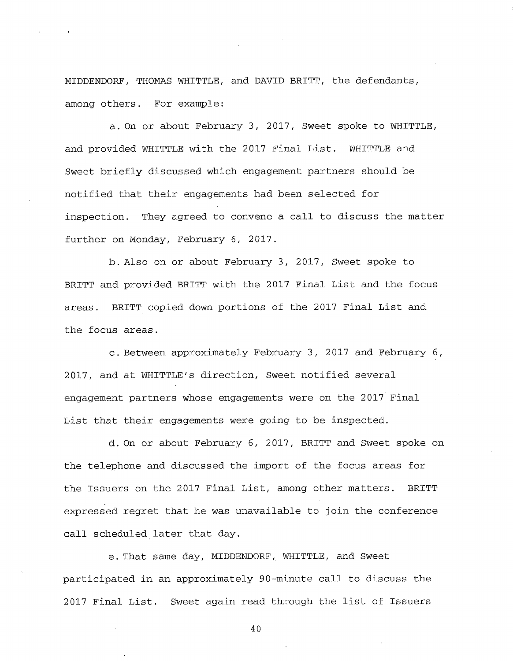MIDDENDORF, THOMAS WHITTLE, and DAVID BRITT, the defendants, among others. For example:

a. On or about February 3, 2017, Sweet spoke to WHITTLE, and provided WHITTLE with the 2017 Final List. WHITTLE and Sweet briefly discussed which engagement partners should be notified that their engagements had been selected for inspection. They agreed to convene a call to discuss the matter further on Monday, February 6, 2017.

b. Also on or about February 3, 2017, Sweet spoke to BRITT and provided BRITT with the 2017 Final List and the focus areas. BRITT copied down portions of the 2017 Final List and the focus areas.

c. Between approximately February 3, 2017 and February 6, 2017, and at WHITTLE'S direction, Sweet notified several engagement partners whose engagements were on the 2017 Final List that their engagements were going to be inspected.

d. On or about February 6, 2017, BRITT and Sweet spoke on the telephone and discussed the import of the focus areas for the Issuers on the 2017 Final List, among other matters. BRITT expressed regret that he was unavailable to join the conference call scheduled later that day.

e. That same day, MIDDENDORF, WHITTLE, and Sweet participated in an approximately 90-minute call to discuss the 2017 Final List. Sweet again read through the list of Issuers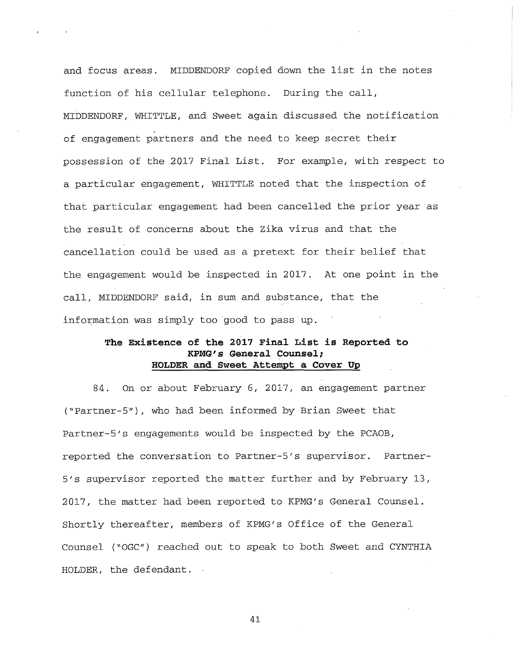and focus areas. MIDDENDORF copied down the list in the notes function of his cellular telephone. During the call, MIDDENDORF, WHITTLE, and Sweet again discussed the notification of engagement partners and the need to keep secret their possession of the 2017 Final List. For example, with respect to a particular engagement, WHITTLE noted that the inspection of that particular engagement had been cancelled the prior year as the result of concerns about the Zika virus and that the cancellation could be used as a pretext for their belief that the engagement would be inspected in 2017. At one point in the call, MIDDENDORF said, in sum and substance, that the information was simply too good to pass up.

# **The Existence of the 2017 Final List is Reported to KPMG's General Counsel; HOLDER and Sweet Attempt a Cover Up**

84. On or about February 6, 2017, an engagement partner ("Partner-5")/ who had been informed by Brian Sweet that Partner-5's engagements would be inspected by the PCAOB, reported the conversation to Partner-5's supervisor. Partner-5's supervisor reported the matter further and by February 13, 2017, the matter had been reported to KPMG's General Counsel. Shortly thereafter, members of KPMG's Office of the General Counsel ("OGC") reached out to speak to both Sweet and CYNTHIA HOLDER, the defendant.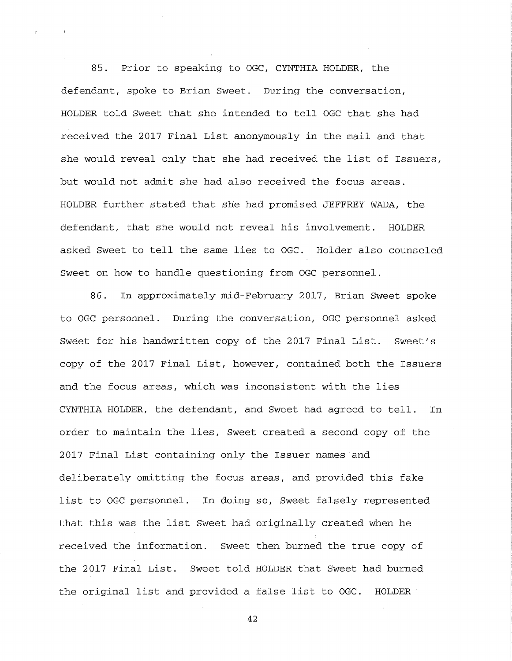85. Prior to speaking to OGC, CYNTHIA HOLDER, the defendant, spoke to Brian Sweet. During the conversation, HOLDER told Sweet that she intended to tell OGC that she had received the 2017 Final List anonymously in the mail and that she would reveal only that she had received the list of Issuers, but would not admit she had also received the focus areas. HOLDER further stated that she had promised JEFFREY WADA, the defendant, that she would not reveal his involvement. HOLDER asked Sweet to tell the same lies to OGC. Holder also counseled Sweet on how to handle questioning from OGC personnel.

86. In approximately mid-February 2017, Brian Sweet spoke to OGC personnel. During the conversation, OGC personnel asked Sweet for his handwritten copy of the 2017 Final List. Sweet's copy of the 2017 Final List, however, contained both the Issuers and the focus areas, which was inconsistent with the lies CYNTHIA HOLDER, the defendant, and Sweet had agreed to tell. In order to maintain the lies, Sweet created a second copy of the 2017 Final List containing only the Issuer names and deliberately omitting the focus areas, and provided this fake list to OGC personnel. In doing so, Sweet falsely represented that this was the list Sweet had originally created when he i received the information. Sweet then burned the true copy of the 2017 Final List. Sweet told HOLDER that Sweet had burned the original list and provided a false list to OGC. HOLDER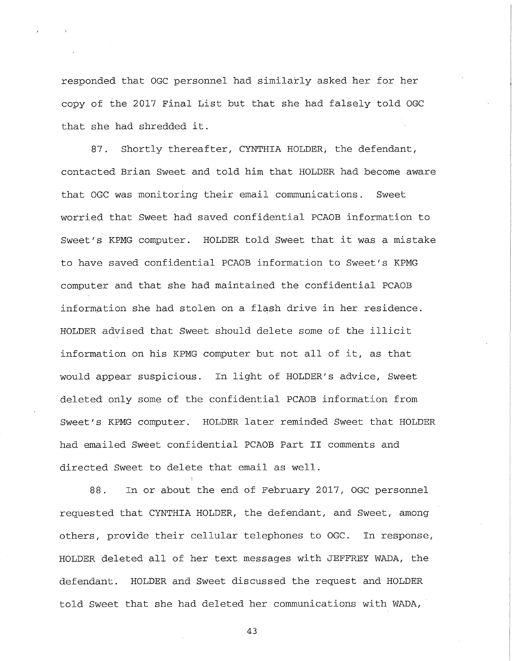responded that OGC personnel had similarly asked her for her copy of the 2017 Final List but that she had falsely told OGC that she had shredded it.

87. Shortly thereafter, CYNTHIA HOLDER, the defendant, contacted Brian Sweet and told him that HOLDER had become aware that OGC was monitoring their email communications. Sweet worried that Sweet had saved confidential PCAOB information to Sweet's KPMG computer. HOLDER told Sweet that it was a mistake to have saved confidential PCAOB information to Sweet's KPMG computer and that she had maintained the confidential PCAOB information she had stolen on a flash drive in her residence. HOLDER advised that Sweet should delete some of the illicit information on his KPMG computer but not all of it, as that would appear suspicious. In light of HOLDER'S advice, Sweet deleted only some of the confidential PCAOB information from Sweet's KPMG computer. HOLDER later reminded Sweet that HOLDER had emailed Sweet confidential PCAOB Part II comments and directed Sweet to delete that email as well.

88. In or about the end of February 2017, OGC personnel requested that CYNTHIA HOLDER, the defendant, and Sweet, among others, provide their cellular telephones to OGC. In response, HOLDER deleted all of her text messages with JEFFREY WADA, the defendant. HOLDER and Sweet discussed the request and HOLDER told Sweet that she had deleted her communications with WADA,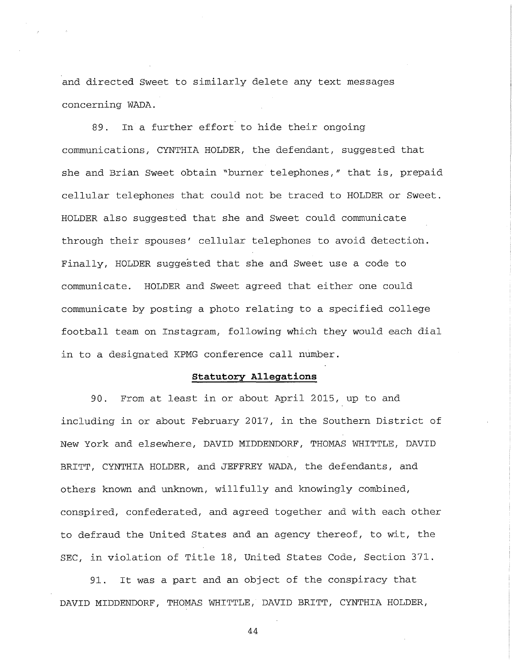and directed Sweet to similarly delete any text messages concerning WADA.

89. In a further effort to hide their ongoing communications, CYNTHIA HOLDER, the defendant, suggested that she and Brian Sweet obtain "burner telephones," that is, prepaid cellular telephones that could not be traced to HOLDER or Sweet. HOLDER also suggested that she and Sweet could communicate through their spouses' cellular telephones to avoid detection. Finally, HOLDER suggested that she and Sweet use a code to communicate. HOLDER and Sweet agreed that either one could communicate by posting a photo relating to a specified college football team on Instagram, following which they would each dial in to a designated KPMG conference call number.

### **Statutory Allegations**

90. From at least in or about April 2015, up to and including in or about February 2017, in the Southern District of New York and elsewhere, DAVID MIDDENDORF, THOMAS WHITTLE, DAVID BRITT, CYNTHIA HOLDER, and JEFFREY WADA, the defendants, and others known and unknown, willfully and knowingly combined, conspired, confederated, and agreed together and with each other to defraud the United States and an agency thereof, to wit, the SEC, in violation of Title 18, United States Code, Section 371.

91. It was a part and an object of the conspiracy that DAVID MIDDENDORF, THOMAS WHITTLE, DAVID BRITT, CYNTHIA HOLDER,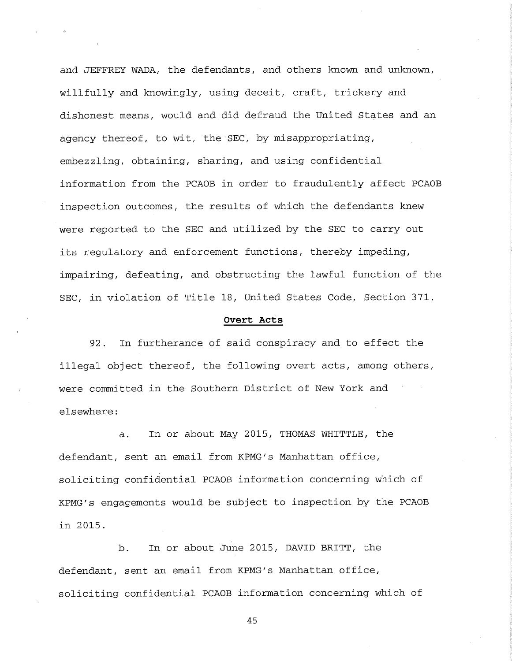and JEFFREY WADA, the defendants, and others known and unknown, willfully and knowingly, using deceit, craft, trickery and dishonest means, would and did defraud the United States and an agency thereof, to wit, the SEC, by misappropriating, embezzling, obtaining, sharing, and using confidential information from the PCAOB in order to fraudulently affect PCAOB inspection outcomes, the results of which the defendants knew were reported to the SEC and utilized by the SEC to carry out its regulatory and enforcement functions, thereby impeding, impairing, defeating, and obstructing the lawful function of the SEC, in violation of Title 18, United States Code, Section 371.

#### **Overt Acts**

92. In furtherance of said conspiracy and to effect the illegal object thereof, the following overt acts, among others, were committed in the Southern District of New York and elsewhere:

a. In or about May 2015, THOMAS WHITTLE, the defendant, sent an email from KPMG's Manhattan office, soliciting confidential PCAOB information concerning which of KPMG's engagements would be subject to inspection by the PCAOB in 2015.

b. In or about June 2015, DAVID BRITT, the defendant, sent an email from KPMG's Manhattan office, soliciting confidential PCAOB information concerning which of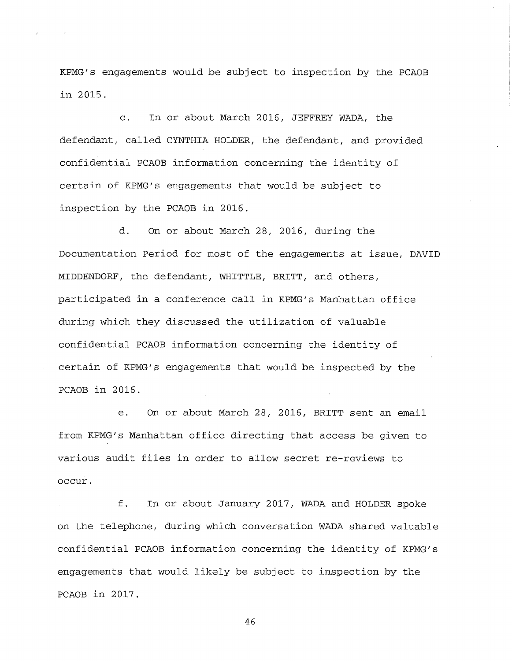KPMG's engagements would be subject to inspection by the PCAOB in 2015.

c. In or about March 2016, JEFFREY WADA, the defendant, called CYNTHIA HOLDER, the defendant, and provided confidential PCAOB information concerning the identity of certain of KPMG's engagements that would be subject to inspection by the PCAOB in 2016.

d. On or about March 28, 2016, during the Documentation Period for most of the engagements at issue, DAVID MIDDENDORF, the defendant, WHITTLE, BRITT, and others, participated in a conference call in KPMG's Manhattan office during which they discussed the utilization of valuable confidential PCAOB information concerning the identity of certain of KPMG's engagements that would be inspected by the PCAOB in 2016.

e. On or about March 28, 2016, BRITT sent an email from KPMG's Manhattan office directing that access be given to various audit files in order to allow secret re-reviews to occur.

f. In or about January 2017, WADA and HOLDER spoke on the telephone, during which conversation WADA shared valuable confidential PCAOB information concerning the identity of KPMG's engagements that would likely be subject to inspection by the PCAOB in 2017.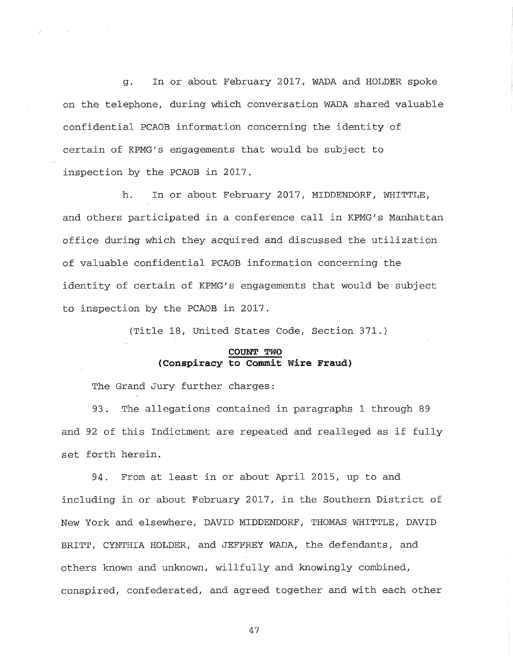g. In or about February 2017, WADA and HOLDER spoke on the telephone, during which conversation WADA shared valuable confidential PCAOB information concerning the identity of certain of KPMG's engagements that would be subject to inspection by the PCAOB in 2017.

h. In or about February 2017, MIDDENDORF, WHITTLE, and others participated in a conference call in KPMG's Manhattan office during which they acquired and discussed the utilization of valuable confidential PCAOB information concerning the identity of certain of KPMG's engagements that would be subject to inspection by the PCAOB in 2017.

(Title 18, United States Code, Section 371.)

## **COUNT TWO (Conspiracy to Commit Wire Fraud)**

The Grand Jury further charges:

93. The allegations contained in paragraphs 1 through 89 and 92 of this Indictment are repeated and realleged as if fully set forth herein.

94. From at least in or about April 2015, up to and including in or about February 2017, in the Southern District of New York and elsewhere, DAVID MIDDENDORF, THOMAS WHITTLE, DAVID BRITT, CYNTHIA HOLDER, and JEFFREY WADA, the defendants, and others known and unknown, willfully and knowingly combined, conspired, confederated, and agreed together and with each other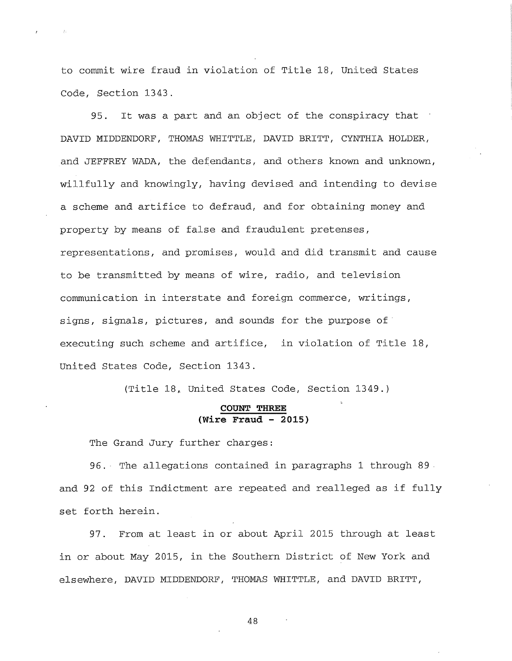to commit wire fraud in violation of Title 18, United States Code, Section 1343.

95. It was a part and an object of the conspiracy that ' DAVID MIDDENDORF, THOMAS WHITTLE, DAVID BRITT, CYNTHIA HOLDER, and JEFFREY WADA, the defendants, and others known and unknown, willfully and knowingly, having devised and intending to devise a scheme and artifice to defraud, and for obtaining money and property by means of false and fraudulent pretenses, representations, and promises, would and did transmit and cause to be transmitted by means of wire, radio, and television communication in interstate and foreign commerce, writings, signs, signals, pictures, and sounds for the purpose of executing such scheme and artifice, in violation of Title 18, United States Code, Section 1343.

(Title 18, United States Code, Section 1349.)

### **COUNT THREE (Wire Fraud - 2015)**

The Grand Jury further charges:

96.- The allegations contained in paragraphs 1 through 89 and 92 of this Indictment are repeated and realleged as if fully set forth herein.

97. From at least in or about April 2015 through at least in or about May 2015, in the Southern District of New York and elsewhere, DAVID MIDDENDORF, THOMAS WHITTLE, and DAVID BRITT,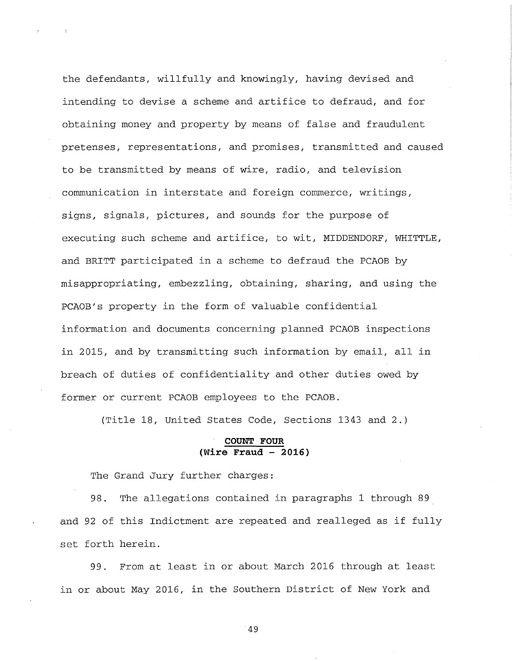the defendants, willfully and knowingly, having devised and intending to devise a scheme and artifice to defraud, and for obtaining money and property by means of false and fraudulent pretenses, representations, and promises, transmitted and caused to be transmitted by means of wire, radio, and television communication in interstate and foreign commerce, writings, signs, signals, pictures, and sounds for the purpose of executing such scheme and artifice, to wit, MIDDENDORF, WHITTLE, and BRITT participated in a scheme to defraud the PCAOB by misappropriating, embezzling, obtaining, sharing, and using the PCAOB's property in the form of valuable confidential information and documents concerning planned PCAOB inspections in 2015, and by transmitting such information by email, all in breach of duties of confidentiality and other duties owed by former or current PCAOB employees to the PCAOB.

(Title 18, United States Code, Sections 1343 and 2.)

### **COUNT FOUR (Wire Fraud - 2016)**

The Grand Jury further charges:

98. The allegations contained in paragraphs 1 through 89 and 92 of this Indictment are repeated and realleged as if fully set forth herein.

99. From at least in or about March 2016 through at least in or about May 2016, in the Southern District of New York and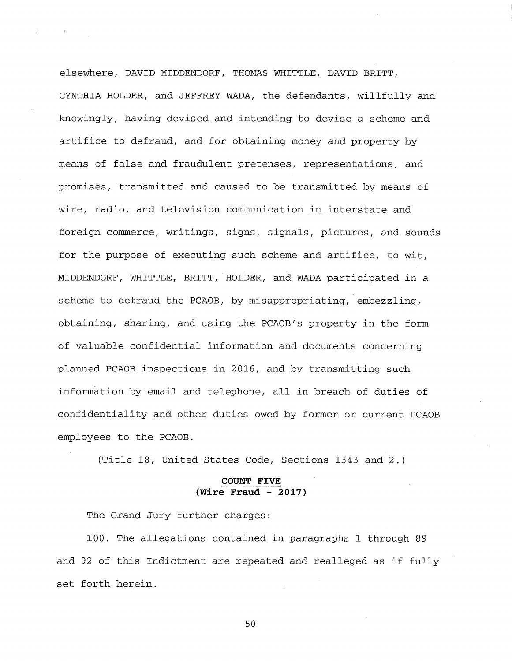elsewhere, DAVID MIDDENDORF, THOMAS WHITTLE, DAVID BRITT, CYNTHIA HOLDER, and JEFFREY WADA, the defendants, willfully and knowingly, having devised and intending to devise a scheme and artifice to defraud, and for obtaining money and property by means of false and fraudulent pretenses, representations, and promises, transmitted and caused to be transmitted by means of wire, radio, and television communication in interstate and foreign commerce, writings, signs, signals, pictures, and sounds for the purpose of executing such scheme and artifice, to wit, MIDDENDORF, WHITTLE, BRITT, HOLDER, and WADA participated in a scheme to defraud the PCAOB, by misappropriating, embezzling, obtaining, sharing, and using the PCAOB's property in the form of valuable confidential information and documents concerning planned PCAOB inspections in 2016, and by transmitting such information by email and telephone, all in breach of duties of confidentiality and other duties owed by former or current PCAOB employees to the PCAOB.

(Title 18, United States Code, Sections 1343 and 2.)

### **COUNT FIVE (Wire Fraud - 2017)**

The Grand Jury further charges:

100. The allegations contained in paragraphs 1 through 89 and 92 of this Indictment are repeated and realleged as if fully set forth herein.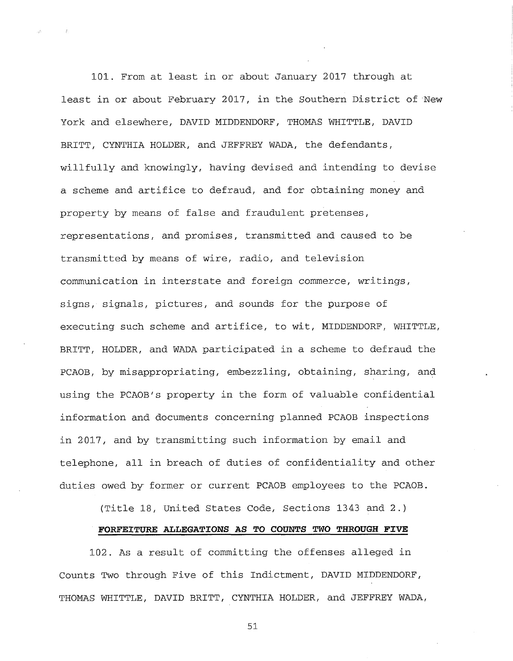101. From at least in or about January 2017 through at least in or about February 2017, in the Southern District of New York and elsewhere, DAVID MIDDENDORF, THOMAS WHITTLE, DAVID BRITT, CYNTHIA HOLDER, and JEFFREY WADA, the defendants, willfully and knowingly, having devised and intending to devise a scheme and artifice to defraud, and for obtaining money and property by means of false and fraudulent pretenses, representations, and promises, transmitted and caused to be transmitted by means of wire, radio, and television communication in interstate and foreign commerce, writings, signs, signals, pictures, and sounds for the purpose of executing such scheme and artifice, to wit, MIDDENDORF, WHITTLE, BRITT, HOLDER, and WADA participated in a scheme to defraud the PCAOB, by misappropriating, embezzling, obtaining, sharing, and using the PCAOB's property in the form of valuable confidential information and documents concerning planned PCAOB inspections in 2017, and by transmitting such information by email and telephone, all in breach of duties of confidentiality and other duties owed by former or current PCAOB employees to the PCAOB.

(Title 18, United States Code, Sections 1343 and 2.)

#### **FORFEITURE ALLEGATIONS AS TO** *COUNTS* **TWO THROUGH FIVE**

102. As a result of committing the offenses alleged in Counts Two through Five of this Indictment, DAVID MIDDENDORF, THOMAS WHITTLE, DAVID BRITT, CYNTHIA HOLDER, and JEFFREY WADA,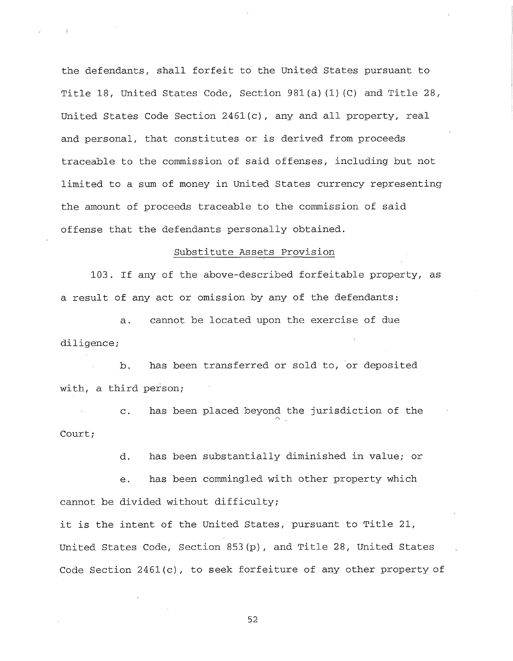the defendants, shall forfeit to the United States pursuant to Title 18, United States Code, Section 981(a)(1)(C) and Title 28, United States Code Section 2461(c), any and all property, real and personal, that constitutes or is derived from proceeds traceable to the commission of said offenses, including but not limited to a sum of money in United States currency representing the amount of proceeds traceable to the commission of said offense that the defendants personally obtained.

### Substitute Assets Provision

103. If any of the above-described forfeitable property, as a result of any act or omission by any of the defendants:

a. cannot be located upon the exercise of due diligence;

b. has been transferred or sold to, or deposited with, a third person;

c. has been placed beyond the jurisdiction of the *r \* Court;

d. has been substantially diminished in value; or

e. has been commingled with other property which cannot be divided without difficulty;

it is the intent of the United States, pursuant to Title 21, United States Code, Section 853(p), and Title 28, United States Code Section 2461(c), to seek forfeiture of any other property of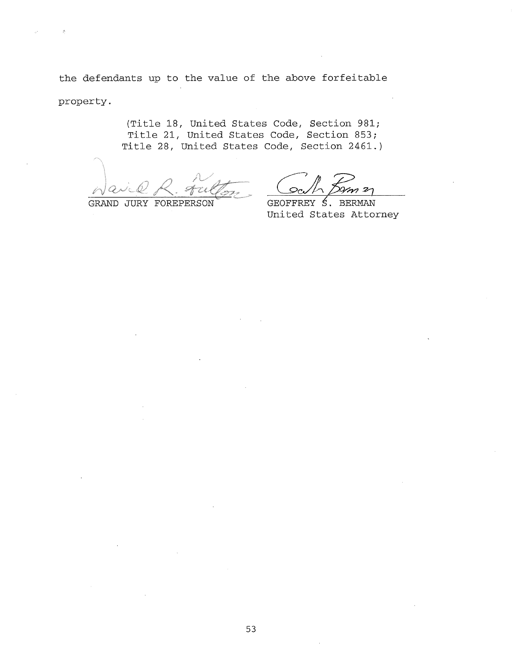the defendants up to the value of the above forfeitable property.

> (Title 18, United States Code, Section 981; Title 21, United States Code, Section 853; Title 28, United States Code, Section 2461.)

i <•-» */ ~ i / i~ " ''* '

GRAND JURY FOREPERSON

 $\Phi$ 

*•Zy?*

GEOFFREY S. BERMAN United States Attorney